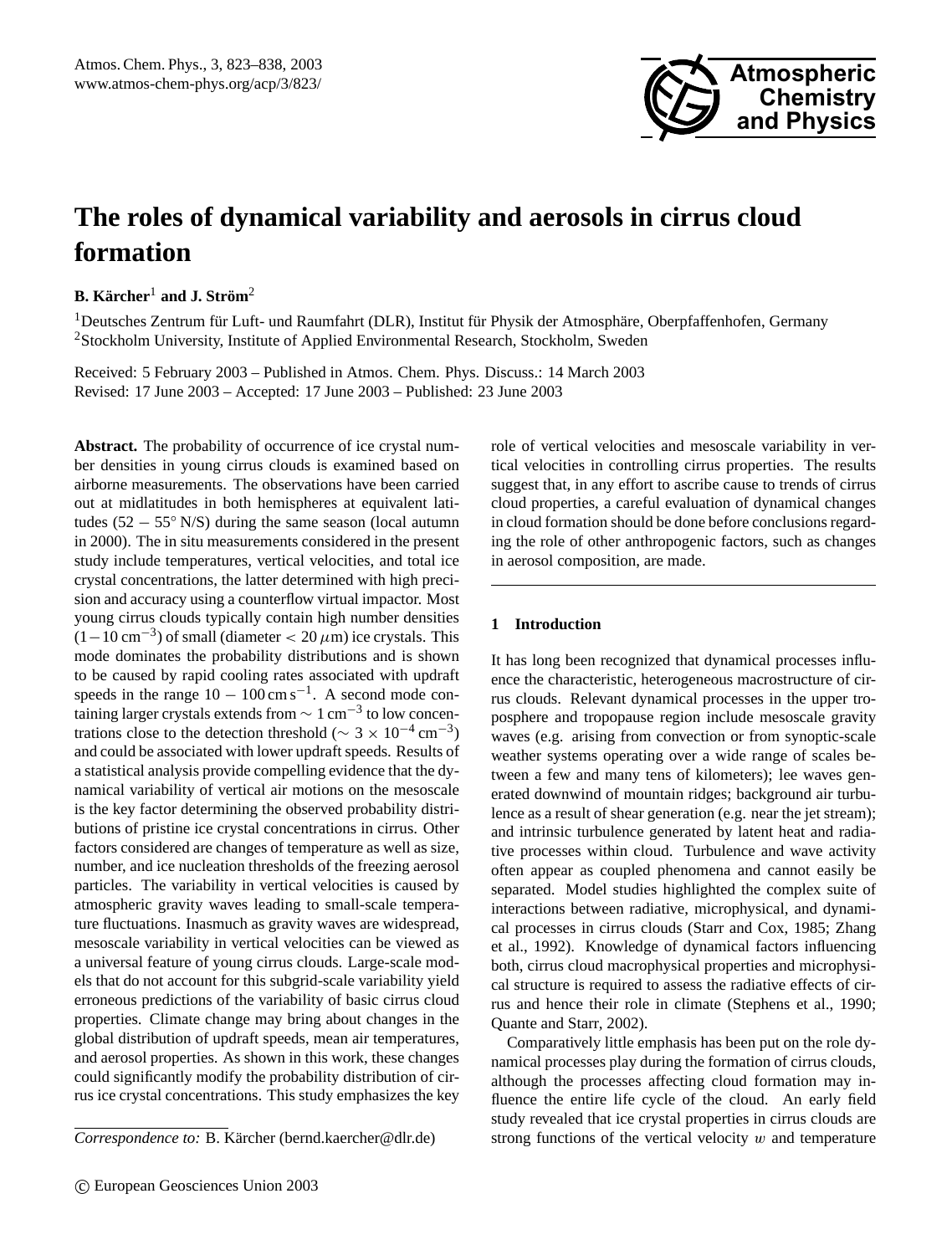

# **The roles of dynamical variability and aerosols in cirrus cloud formation**

**B.** Kärcher<sup>1</sup> and J. Ström<sup>2</sup>

 $1$ Deutsches Zentrum für Luft- und Raumfahrt (DLR), Institut für Physik der Atmosphäre, Oberpfaffenhofen, Germany <sup>2</sup>Stockholm University, Institute of Applied Environmental Research, Stockholm, Sweden

Received: 5 February 2003 – Published in Atmos. Chem. Phys. Discuss.: 14 March 2003 Revised: 17 June 2003 – Accepted: 17 June 2003 – Published: 23 June 2003

**Abstract.** The probability of occurrence of ice crystal number densities in young cirrus clouds is examined based on airborne measurements. The observations have been carried out at midlatitudes in both hemispheres at equivalent latitudes ( $52 - 55°$  N/S) during the same season (local autumn in 2000). The in situ measurements considered in the present study include temperatures, vertical velocities, and total ice crystal concentrations, the latter determined with high precision and accuracy using a counterflow virtual impactor. Most young cirrus clouds typically contain high number densities  $(1-10 \text{ cm}^{-3})$  of small (diameter < 20  $\mu$ m) ice crystals. This mode dominates the probability distributions and is shown to be caused by rapid cooling rates associated with updraft speeds in the range  $10 - 100 \text{ cm s}^{-1}$ . A second mode containing larger crystals extends from ∼ 1 cm−<sup>3</sup> to low concentrations close to the detection threshold ( $\sim 3 \times 10^{-4}$  cm<sup>-3</sup>) and could be associated with lower updraft speeds. Results of a statistical analysis provide compelling evidence that the dynamical variability of vertical air motions on the mesoscale is the key factor determining the observed probability distributions of pristine ice crystal concentrations in cirrus. Other factors considered are changes of temperature as well as size, number, and ice nucleation thresholds of the freezing aerosol particles. The variability in vertical velocities is caused by atmospheric gravity waves leading to small-scale temperature fluctuations. Inasmuch as gravity waves are widespread, mesoscale variability in vertical velocities can be viewed as a universal feature of young cirrus clouds. Large-scale models that do not account for this subgrid-scale variability yield erroneous predictions of the variability of basic cirrus cloud properties. Climate change may bring about changes in the global distribution of updraft speeds, mean air temperatures, and aerosol properties. As shown in this work, these changes could significantly modify the probability distribution of cirrus ice crystal concentrations. This study emphasizes the key

c European Geosciences Union 2003

role of vertical velocities and mesoscale variability in vertical velocities in controlling cirrus properties. The results suggest that, in any effort to ascribe cause to trends of cirrus cloud properties, a careful evaluation of dynamical changes in cloud formation should be done before conclusions regarding the role of other anthropogenic factors, such as changes in aerosol composition, are made.

# **1 Introduction**

It has long been recognized that dynamical processes influence the characteristic, heterogeneous macrostructure of cirrus clouds. Relevant dynamical processes in the upper troposphere and tropopause region include mesoscale gravity waves (e.g. arising from convection or from synoptic-scale weather systems operating over a wide range of scales between a few and many tens of kilometers); lee waves generated downwind of mountain ridges; background air turbulence as a result of shear generation (e.g. near the jet stream); and intrinsic turbulence generated by latent heat and radiative processes within cloud. Turbulence and wave activity often appear as coupled phenomena and cannot easily be separated. Model studies highlighted the complex suite of interactions between radiative, microphysical, and dynamical processes in cirrus clouds (Starr and Cox, 1985; Zhang et al., 1992). Knowledge of dynamical factors influencing both, cirrus cloud macrophysical properties and microphysical structure is required to assess the radiative effects of cirrus and hence their role in climate (Stephens et al., 1990; Quante and Starr, 2002).

Comparatively little emphasis has been put on the role dynamical processes play during the formation of cirrus clouds, although the processes affecting cloud formation may influence the entire life cycle of the cloud. An early field study revealed that ice crystal properties in cirrus clouds are strong functions of the vertical velocity  $w$  and temperature

*Correspondence to:* B. Karcher (bernd.kaercher@dlr.de) ¨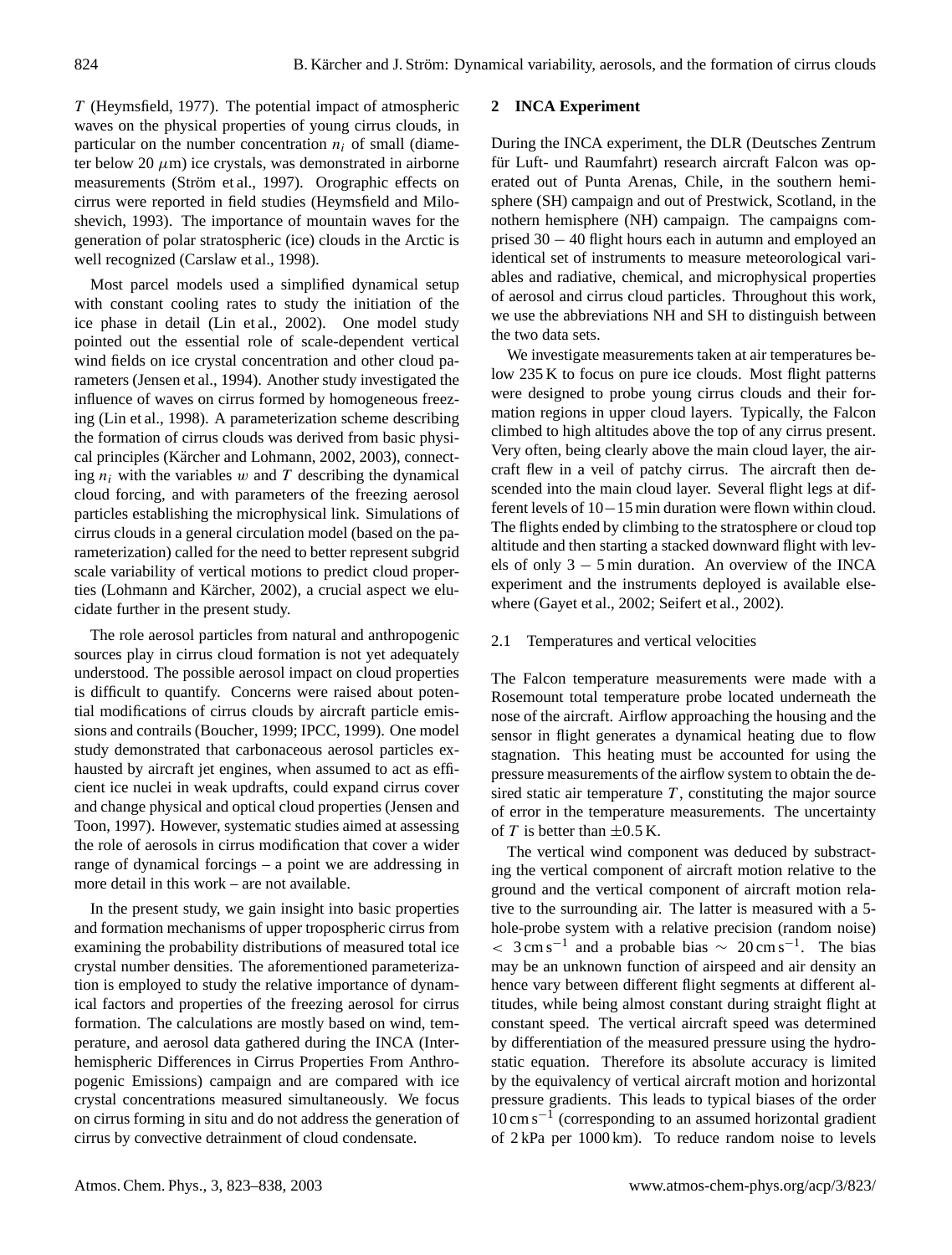T (Heymsfield, 1977). The potential impact of atmospheric waves on the physical properties of young cirrus clouds, in particular on the number concentration  $n_i$  of small (diameter below 20  $\mu$ m) ice crystals, was demonstrated in airborne measurements (Ström et al., 1997). Orographic effects on cirrus were reported in field studies (Heymsfield and Miloshevich, 1993). The importance of mountain waves for the generation of polar stratospheric (ice) clouds in the Arctic is well recognized (Carslaw et al., 1998).

Most parcel models used a simplified dynamical setup with constant cooling rates to study the initiation of the ice phase in detail (Lin et al., 2002). One model study pointed out the essential role of scale-dependent vertical wind fields on ice crystal concentration and other cloud parameters (Jensen et al., 1994). Another study investigated the influence of waves on cirrus formed by homogeneous freezing (Lin et al., 1998). A parameterization scheme describing the formation of cirrus clouds was derived from basic physical principles (Kärcher and Lohmann, 2002, 2003), connecting  $n_i$  with the variables w and T describing the dynamical cloud forcing, and with parameters of the freezing aerosol particles establishing the microphysical link. Simulations of cirrus clouds in a general circulation model (based on the parameterization) called for the need to better represent subgrid scale variability of vertical motions to predict cloud properties (Lohmann and Kärcher, 2002), a crucial aspect we elucidate further in the present study.

The role aerosol particles from natural and anthropogenic sources play in cirrus cloud formation is not yet adequately understood. The possible aerosol impact on cloud properties is difficult to quantify. Concerns were raised about potential modifications of cirrus clouds by aircraft particle emissions and contrails (Boucher, 1999; IPCC, 1999). One model study demonstrated that carbonaceous aerosol particles exhausted by aircraft jet engines, when assumed to act as efficient ice nuclei in weak updrafts, could expand cirrus cover and change physical and optical cloud properties (Jensen and Toon, 1997). However, systematic studies aimed at assessing the role of aerosols in cirrus modification that cover a wider range of dynamical forcings – a point we are addressing in more detail in this work – are not available.

In the present study, we gain insight into basic properties and formation mechanisms of upper tropospheric cirrus from examining the probability distributions of measured total ice crystal number densities. The aforementioned parameterization is employed to study the relative importance of dynamical factors and properties of the freezing aerosol for cirrus formation. The calculations are mostly based on wind, temperature, and aerosol data gathered during the INCA (Interhemispheric Differences in Cirrus Properties From Anthropogenic Emissions) campaign and are compared with ice crystal concentrations measured simultaneously. We focus on cirrus forming in situ and do not address the generation of cirrus by convective detrainment of cloud condensate.

#### **2 INCA Experiment**

During the INCA experiment, the DLR (Deutsches Zentrum für Luft- und Raumfahrt) research aircraft Falcon was operated out of Punta Arenas, Chile, in the southern hemisphere (SH) campaign and out of Prestwick, Scotland, in the nothern hemisphere (NH) campaign. The campaigns comprised 30 − 40 flight hours each in autumn and employed an identical set of instruments to measure meteorological variables and radiative, chemical, and microphysical properties of aerosol and cirrus cloud particles. Throughout this work, we use the abbreviations NH and SH to distinguish between the two data sets.

We investigate measurements taken at air temperatures below 235 K to focus on pure ice clouds. Most flight patterns were designed to probe young cirrus clouds and their formation regions in upper cloud layers. Typically, the Falcon climbed to high altitudes above the top of any cirrus present. Very often, being clearly above the main cloud layer, the aircraft flew in a veil of patchy cirrus. The aircraft then descended into the main cloud layer. Several flight legs at different levels of 10−15 min duration were flown within cloud. The flights ended by climbing to the stratosphere or cloud top altitude and then starting a stacked downward flight with levels of only 3 − 5 min duration. An overview of the INCA experiment and the instruments deployed is available elsewhere (Gayet et al., 2002; Seifert et al., 2002).

# 2.1 Temperatures and vertical velocities

The Falcon temperature measurements were made with a Rosemount total temperature probe located underneath the nose of the aircraft. Airflow approaching the housing and the sensor in flight generates a dynamical heating due to flow stagnation. This heating must be accounted for using the pressure measurements of the airflow system to obtain the desired static air temperature  $T$ , constituting the major source of error in the temperature measurements. The uncertainty of T is better than  $\pm 0.5$  K.

The vertical wind component was deduced by substracting the vertical component of aircraft motion relative to the ground and the vertical component of aircraft motion relative to the surrounding air. The latter is measured with a 5 hole-probe system with a relative precision (random noise)  $< 3 \text{ cm s}^{-1}$  and a probable bias  $\sim 20 \text{ cm s}^{-1}$ . The bias may be an unknown function of airspeed and air density an hence vary between different flight segments at different altitudes, while being almost constant during straight flight at constant speed. The vertical aircraft speed was determined by differentiation of the measured pressure using the hydrostatic equation. Therefore its absolute accuracy is limited by the equivalency of vertical aircraft motion and horizontal pressure gradients. This leads to typical biases of the order 10 cm s−<sup>1</sup> (corresponding to an assumed horizontal gradient of 2 kPa per 1000 km). To reduce random noise to levels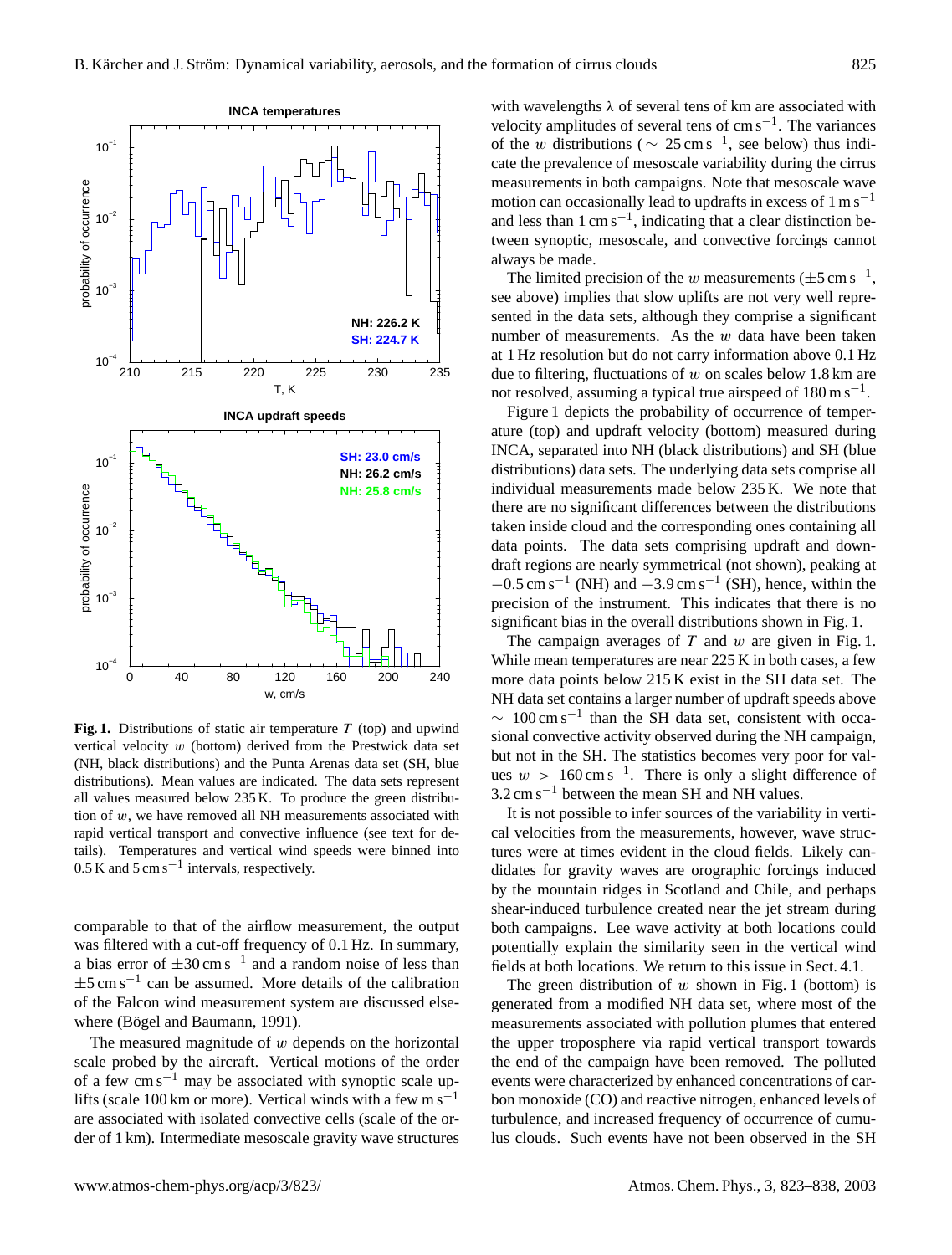

Fig. 1. Distributions of static air temperature T (top) and upwind vertical velocity w (bottom) derived from the Prestwick data set (NH, black distributions) and the Punta Arenas data set (SH, blue distributions). Mean values are indicated. The data sets represent all values measured below 235 K. To produce the green distribution of  $w$ , we have removed all NH measurements associated with rapid vertical transport and convective influence (see text for details). Temperatures and vertical wind speeds were binned into  $0.5$  K and  $5 \text{ cm s}^{-1}$  intervals, respectively.

comparable to that of the airflow measurement, the output was filtered with a cut-off frequency of 0.1 Hz. In summary, a bias error of  $\pm 30 \text{ cm s}^{-1}$  and a random noise of less than  $\pm$ 5 cm s<sup>-1</sup> can be assumed. More details of the calibration of the Falcon wind measurement system are discussed elsewhere (Bögel and Baumann, 1991).

The measured magnitude of  $w$  depends on the horizontal scale probed by the aircraft. Vertical motions of the order of a few cm s<sup> $-1$ </sup> may be associated with synoptic scale uplifts (scale 100 km or more). Vertical winds with a few m s<sup>−1</sup> are associated with isolated convective cells (scale of the order of 1 km). Intermediate mesoscale gravity wave structures

with wavelengths  $\lambda$  of several tens of km are associated with velocity amplitudes of several tens of  $\text{cm s}^{-1}$ . The variances of the w distributions ( $\sim 25 \text{ cm s}^{-1}$ , see below) thus indicate the prevalence of mesoscale variability during the cirrus measurements in both campaigns. Note that mesoscale wave motion can occasionally lead to updrafts in excess of  $1 \text{ m s}^{-1}$ and less than  $1 \text{ cm s}^{-1}$ , indicating that a clear distinction between synoptic, mesoscale, and convective forcings cannot always be made.

The limited precision of the w measurements  $(\pm 5 \text{ cm s}^{-1})$ , see above) implies that slow uplifts are not very well represented in the data sets, although they comprise a significant number of measurements. As the  $w$  data have been taken at 1 Hz resolution but do not carry information above 0.1 Hz due to filtering, fluctuations of  $w$  on scales below 1.8 km are not resolved, assuming a typical true airspeed of  $180 \text{ m s}^{-1}$ .

Figure 1 depicts the probability of occurrence of temperature (top) and updraft velocity (bottom) measured during INCA, separated into NH (black distributions) and SH (blue distributions) data sets. The underlying data sets comprise all individual measurements made below 235 K. We note that there are no significant differences between the distributions taken inside cloud and the corresponding ones containing all data points. The data sets comprising updraft and downdraft regions are nearly symmetrical (not shown), peaking at  $-0.5$  cm s<sup>-1</sup> (NH) and  $-3.9$  cm s<sup>-1</sup> (SH), hence, within the precision of the instrument. This indicates that there is no significant bias in the overall distributions shown in Fig. 1.

The campaign averages of  $T$  and  $w$  are given in Fig. 1. While mean temperatures are near 225 K in both cases, a few more data points below 215 K exist in the SH data set. The NH data set contains a larger number of updraft speeds above  $\sim 100 \text{ cm s}^{-1}$  than the SH data set, consistent with occasional convective activity observed during the NH campaign, but not in the SH. The statistics becomes very poor for values  $w > 160 \text{ cm s}^{-1}$ . There is only a slight difference of  $3.2 \text{ cm s}^{-1}$  between the mean SH and NH values.

It is not possible to infer sources of the variability in vertical velocities from the measurements, however, wave structures were at times evident in the cloud fields. Likely candidates for gravity waves are orographic forcings induced by the mountain ridges in Scotland and Chile, and perhaps shear-induced turbulence created near the jet stream during both campaigns. Lee wave activity at both locations could potentially explain the similarity seen in the vertical wind fields at both locations. We return to this issue in Sect. 4.1.

The green distribution of  $w$  shown in Fig. 1 (bottom) is generated from a modified NH data set, where most of the measurements associated with pollution plumes that entered the upper troposphere via rapid vertical transport towards the end of the campaign have been removed. The polluted events were characterized by enhanced concentrations of carbon monoxide (CO) and reactive nitrogen, enhanced levels of turbulence, and increased frequency of occurrence of cumulus clouds. Such events have not been observed in the SH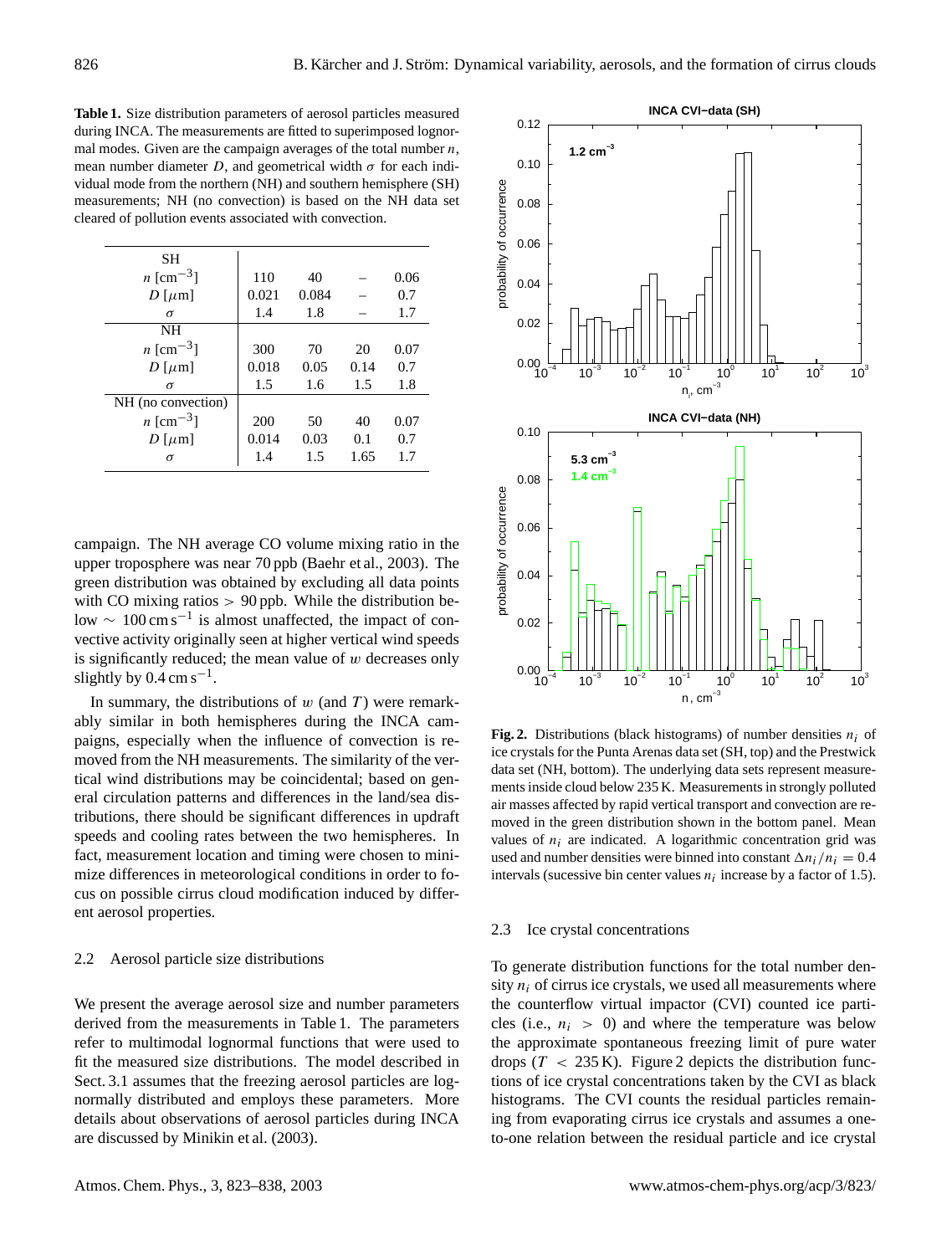**Table 1.** Size distribution parameters of aerosol particles measured during INCA. The measurements are fitted to superimposed lognormal modes. Given are the campaign averages of the total number  $n$ , mean number diameter D, and geometrical width  $\sigma$  for each individual mode from the northern (NH) and southern hemisphere (SH) measurements; NH (no convection) is based on the NH data set cleared of pollution events associated with convection.

| 110   | 40    |      | 0.06 |
|-------|-------|------|------|
| 0.021 | 0.084 |      | 0.7  |
| 1.4   | 1.8   |      | 1.7  |
|       |       |      |      |
| 300   | 70    | 20   | 0.07 |
| 0.018 | 0.05  | 0.14 | 0.7  |
| 1.5   | 1.6   | 1.5  | 1.8  |
|       |       |      |      |
| 200   | 50    | 40   | 0.07 |
| 0.014 | 0.03  | 0.1  | 0.7  |
| 1.4   | 1.5   | 1.65 | 17   |
|       |       |      |      |

campaign. The NH average CO volume mixing ratio in the upper troposphere was near 70 ppb (Baehr et al., 2003). The green distribution was obtained by excluding all data points with CO mixing ratios  $> 90$  ppb. While the distribution below  $\sim 100 \text{ cm s}^{-1}$  is almost unaffected, the impact of convective activity originally seen at higher vertical wind speeds is significantly reduced; the mean value of  $w$  decreases only slightly by  $0.4 \text{ cm s}^{-1}$ .

In summary, the distributions of  $w$  (and  $T$ ) were remarkably similar in both hemispheres during the INCA campaigns, especially when the influence of convection is removed from the NH measurements. The similarity of the vertical wind distributions may be coincidental; based on general circulation patterns and differences in the land/sea distributions, there should be significant differences in updraft speeds and cooling rates between the two hemispheres. In fact, measurement location and timing were chosen to minimize differences in meteorological conditions in order to focus on possible cirrus cloud modification induced by different aerosol properties.

## 2.2 Aerosol particle size distributions

We present the average aerosol size and number parameters derived from the measurements in Table 1. The parameters refer to multimodal lognormal functions that were used to fit the measured size distributions. The model described in Sect. 3.1 assumes that the freezing aerosol particles are lognormally distributed and employs these parameters. More details about observations of aerosol particles during INCA are discussed by Minikin et al. (2003).



**Fig. 2.** Distributions (black histograms) of number densities  $n_i$  of ice crystals for the Punta Arenas data set (SH, top) and the Prestwick data set (NH, bottom). The underlying data sets represent measurements inside cloud below 235 K. Measurements in strongly polluted air masses affected by rapid vertical transport and convection are removed in the green distribution shown in the bottom panel. Mean values of  $n_i$  are indicated. A logarithmic concentration grid was used and number densities were binned into constant  $\Delta n_i/n_i = 0.4$ intervals (sucessive bin center values  $n_i$  increase by a factor of 1.5).

#### 2.3 Ice crystal concentrations

To generate distribution functions for the total number density  $n_i$  of cirrus ice crystals, we used all measurements where the counterflow virtual impactor (CVI) counted ice particles (i.e.,  $n_i > 0$ ) and where the temperature was below the approximate spontaneous freezing limit of pure water drops  $(T < 235 \text{ K})$ . Figure 2 depicts the distribution functions of ice crystal concentrations taken by the CVI as black histograms. The CVI counts the residual particles remaining from evaporating cirrus ice crystals and assumes a oneto-one relation between the residual particle and ice crystal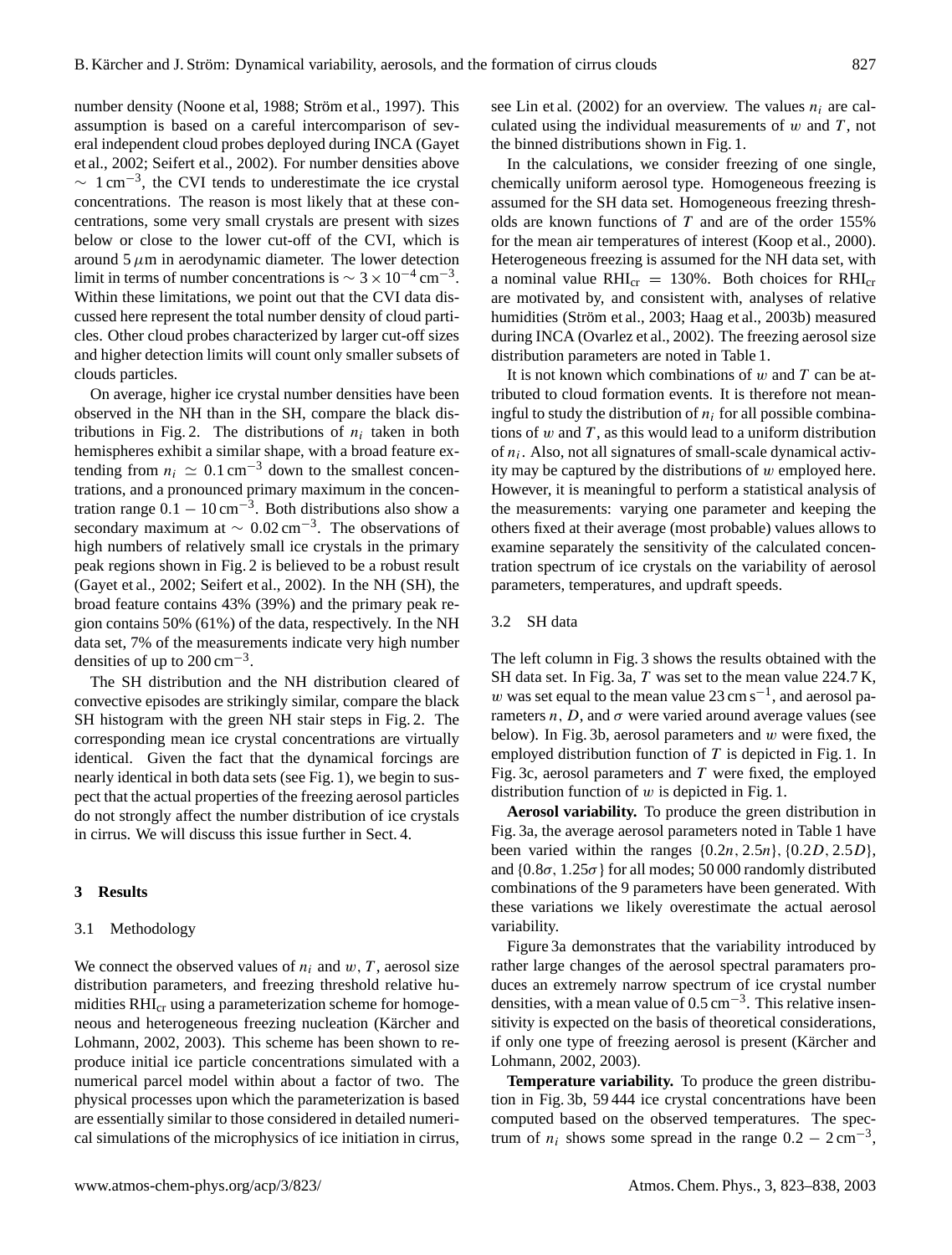number density (Noone et al, 1988; Ström et al., 1997). This assumption is based on a careful intercomparison of several independent cloud probes deployed during INCA (Gayet et al., 2002; Seifert et al., 2002). For number densities above  $\sim 1 \text{ cm}^{-3}$ , the CVI tends to underestimate the ice crystal concentrations. The reason is most likely that at these concentrations, some very small crystals are present with sizes below or close to the lower cut-off of the CVI, which is around  $5 \mu$ m in aerodynamic diameter. The lower detection limit in terms of number concentrations is  $\sim 3 \times 10^{-4}$  cm<sup>-3</sup>. Within these limitations, we point out that the CVI data discussed here represent the total number density of cloud particles. Other cloud probes characterized by larger cut-off sizes and higher detection limits will count only smaller subsets of clouds particles.

On average, higher ice crystal number densities have been observed in the NH than in the SH, compare the black distributions in Fig. 2. The distributions of  $n_i$  taken in both hemispheres exhibit a similar shape, with a broad feature extending from  $n_i \simeq 0.1 \text{ cm}^{-3}$  down to the smallest concentrations, and a pronounced primary maximum in the concentration range  $0.1 - 10 \text{ cm}^{-3}$ . Both distributions also show a secondary maximum at  $\sim 0.02 \text{ cm}^{-3}$ . The observations of high numbers of relatively small ice crystals in the primary peak regions shown in Fig. 2 is believed to be a robust result (Gayet et al., 2002; Seifert et al., 2002). In the NH (SH), the broad feature contains 43% (39%) and the primary peak region contains 50% (61%) of the data, respectively. In the NH data set, 7% of the measurements indicate very high number densities of up to  $200 \text{ cm}^{-3}$ .

The SH distribution and the NH distribution cleared of convective episodes are strikingly similar, compare the black SH histogram with the green NH stair steps in Fig. 2. The corresponding mean ice crystal concentrations are virtually identical. Given the fact that the dynamical forcings are nearly identical in both data sets (see Fig. 1), we begin to suspect that the actual properties of the freezing aerosol particles do not strongly affect the number distribution of ice crystals in cirrus. We will discuss this issue further in Sect. 4.

#### **3 Results**

#### 3.1 Methodology

We connect the observed values of  $n_i$  and  $w$ ,  $T$ , aerosol size distribution parameters, and freezing threshold relative humidities RHI<sub>cr</sub> using a parameterization scheme for homogeneous and heterogeneous freezing nucleation (Kärcher and Lohmann, 2002, 2003). This scheme has been shown to reproduce initial ice particle concentrations simulated with a numerical parcel model within about a factor of two. The physical processes upon which the parameterization is based are essentially similar to those considered in detailed numerical simulations of the microphysics of ice initiation in cirrus, see Lin et al. (2002) for an overview. The values  $n_i$  are calculated using the individual measurements of  $w$  and  $T$ , not the binned distributions shown in Fig. 1.

In the calculations, we consider freezing of one single, chemically uniform aerosol type. Homogeneous freezing is assumed for the SH data set. Homogeneous freezing thresholds are known functions of  $T$  and are of the order 155% for the mean air temperatures of interest (Koop et al., 2000). Heterogeneous freezing is assumed for the NH data set, with a nominal value  $RHI_{cr} = 130\%$ . Both choices for  $RHI_{cr}$ are motivated by, and consistent with, analyses of relative humidities (Ström et al., 2003; Haag et al., 2003b) measured during INCA (Ovarlez et al., 2002). The freezing aerosol size distribution parameters are noted in Table 1.

It is not known which combinations of  $w$  and  $T$  can be attributed to cloud formation events. It is therefore not meaningful to study the distribution of  $n_i$  for all possible combinations of  $w$  and  $T$ , as this would lead to a uniform distribution of  $n_i$ . Also, not all signatures of small-scale dynamical activity may be captured by the distributions of  $w$  employed here. However, it is meaningful to perform a statistical analysis of the measurements: varying one parameter and keeping the others fixed at their average (most probable) values allows to examine separately the sensitivity of the calculated concentration spectrum of ice crystals on the variability of aerosol parameters, temperatures, and updraft speeds.

# 3.2 SH data

The left column in Fig. 3 shows the results obtained with the SH data set. In Fig. 3a, T was set to the mean value 224.7 K, w was set equal to the mean value  $23 \text{ cm s}^{-1}$ , and aerosol parameters *n*, *D*, and  $\sigma$  were varied around average values (see below). In Fig. 3b, aerosol parameters and  $w$  were fixed, the employed distribution function of  $T$  is depicted in Fig. 1. In Fig. 3c, aerosol parameters and  $T$  were fixed, the employed distribution function of  $w$  is depicted in Fig. 1.

**Aerosol variability.** To produce the green distribution in Fig. 3a, the average aerosol parameters noted in Table 1 have been varied within the ranges  $\{0.2n, 2.5n\}, \{0.2D, 2.5D\},\$ and  $\{0.8\sigma, 1.25\sigma\}$  for all modes; 50 000 randomly distributed combinations of the 9 parameters have been generated. With these variations we likely overestimate the actual aerosol variability.

Figure 3a demonstrates that the variability introduced by rather large changes of the aerosol spectral paramaters produces an extremely narrow spectrum of ice crystal number densities, with a mean value of  $0.5 \text{ cm}^{-3}$ . This relative insensitivity is expected on the basis of theoretical considerations, if only one type of freezing aerosol is present (Kärcher and Lohmann, 2002, 2003).

**Temperature variability.** To produce the green distribution in Fig. 3b, 59 444 ice crystal concentrations have been computed based on the observed temperatures. The spectrum of  $n_i$  shows some spread in the range  $0.2 - 2 \text{ cm}^{-3}$ ,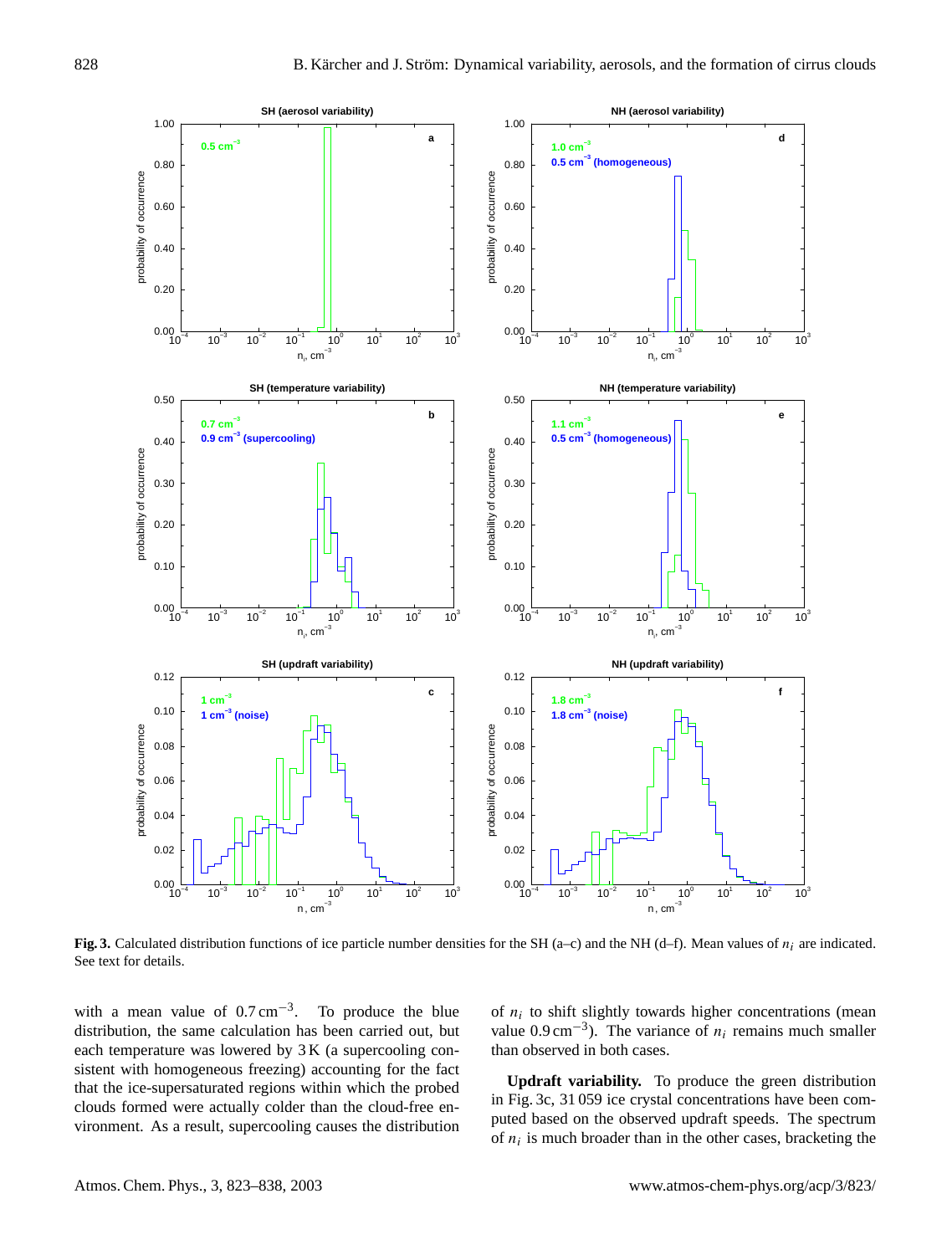

**Fig. 3.** Calculated distribution functions of ice particle number densities for the SH (a–c) and the NH (d–f). Mean values of  $n_i$  are indicated. See text for details.

with a mean value of  $0.7 \text{ cm}^{-3}$ . . To produce the blue distribution, the same calculation has been carried out, but each temperature was lowered by 3 K (a supercooling consistent with homogeneous freezing) accounting for the fact that the ice-supersaturated regions within which the probed clouds formed were actually colder than the cloud-free environment. As a result, supercooling causes the distribution

of  $n_i$  to shift slightly towards higher concentrations (mean value  $0.9 \text{ cm}^{-3}$ ). The variance of  $n_i$  remains much smaller than observed in both cases.

**Updraft variability.** To produce the green distribution in Fig. 3c, 31 059 ice crystal concentrations have been computed based on the observed updraft speeds. The spectrum of  $n_i$  is much broader than in the other cases, bracketing the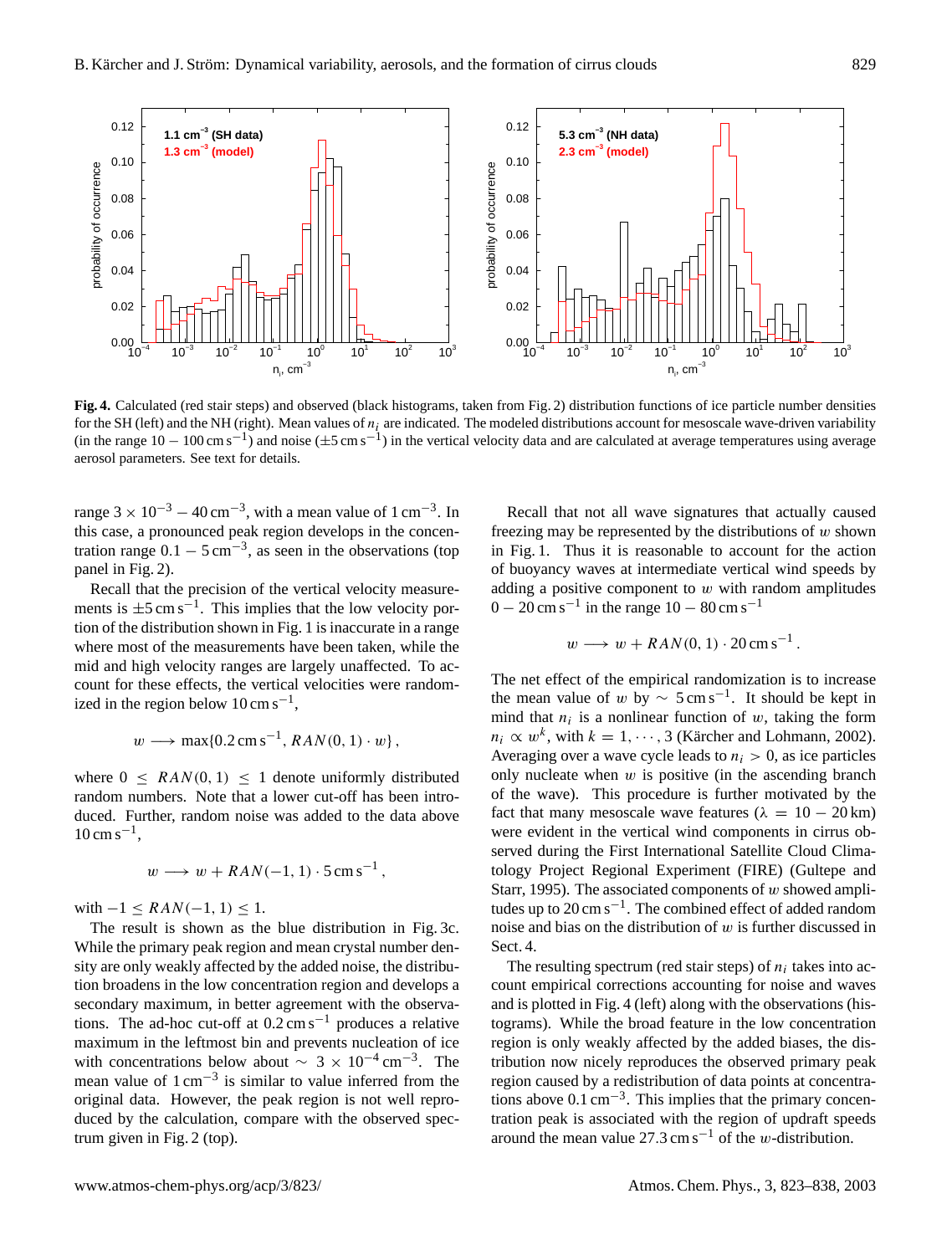

**Fig. 4.** Calculated (red stair steps) and observed (black histograms, taken from Fig. 2) distribution functions of ice particle number densities for the SH (left) and the NH (right). Mean values of  $n_i$  are indicated. The modeled distributions account for mesoscale wave-driven variability (in the range  $10-100 \text{ cm s}^{-1}$ ) and noise ( $\pm 5 \text{ cm s}^{-1}$ ) in the vertical velocity data and are calculated at average temperatures using average aerosol parameters. See text for details.

range  $3 \times 10^{-3} - 40 \text{ cm}^{-3}$ , with a mean value of  $1 \text{ cm}^{-3}$ . In this case, a pronounced peak region develops in the concentration range  $0.1 - 5 \text{ cm}^{-3}$ , as seen in the observations (top panel in Fig. 2).

Recall that the precision of the vertical velocity measurements is  $\pm 5 \text{ cm s}^{-1}$ . This implies that the low velocity portion of the distribution shown in Fig. 1 is inaccurate in a range where most of the measurements have been taken, while the mid and high velocity ranges are largely unaffected. To account for these effects, the vertical velocities were randomized in the region below  $10 \text{ cm s}^{-1}$ ,

$$
w \longrightarrow \max\{0.2 \,\mathrm{cm\,s}^{-1}, \, RAM(0,1)\cdot w\},\,
$$

where  $0 \leq RAN(0, 1) \leq 1$  denote uniformly distributed random numbers. Note that a lower cut-off has been introduced. Further, random noise was added to the data above  $10 \text{ cm s}^{-1}$ ,

$$
w \longrightarrow w + RAN(-1, 1) \cdot 5 \,\mathrm{cm\,s}^{-1},
$$

with  $-1 \leq RAN(-1, 1) \leq 1$ .

The result is shown as the blue distribution in Fig. 3c. While the primary peak region and mean crystal number density are only weakly affected by the added noise, the distribution broadens in the low concentration region and develops a secondary maximum, in better agreement with the observations. The ad-hoc cut-off at  $0.2 \text{ cm s}^{-1}$  produces a relative maximum in the leftmost bin and prevents nucleation of ice with concentrations below about  $\sim 3 \times 10^{-4}$  cm<sup>-3</sup>. The mean value of  $1 \text{ cm}^{-3}$  is similar to value inferred from the original data. However, the peak region is not well reproduced by the calculation, compare with the observed spectrum given in Fig. 2 (top).

Recall that not all wave signatures that actually caused freezing may be represented by the distributions of  $w$  shown in Fig. 1. Thus it is reasonable to account for the action of buoyancy waves at intermediate vertical wind speeds by adding a positive component to  $w$  with random amplitudes  $0 - 20$  cm s<sup>-1</sup> in the range  $10 - 80$  cm s<sup>-1</sup>

$$
w \longrightarrow w + RAN(0, 1) \cdot 20 \,\mathrm{cm\,s}^{-1}.
$$

The net effect of the empirical randomization is to increase the mean value of w by  $\sim 5 \text{ cm s}^{-1}$ . It should be kept in mind that  $n_i$  is a nonlinear function of w, taking the form  $n_i \propto w^k$ , with  $k = 1, \dots, 3$  (Kärcher and Lohmann, 2002). Averaging over a wave cycle leads to  $n_i > 0$ , as ice particles only nucleate when  $w$  is positive (in the ascending branch of the wave). This procedure is further motivated by the fact that many mesoscale wave features ( $\lambda = 10 - 20$  km) were evident in the vertical wind components in cirrus observed during the First International Satellite Cloud Climatology Project Regional Experiment (FIRE) (Gultepe and Starr, 1995). The associated components of  $w$  showed amplitudes up to  $20 \text{ cm s}^{-1}$ . The combined effect of added random noise and bias on the distribution of  $w$  is further discussed in Sect. 4.

The resulting spectrum (red stair steps) of  $n_i$  takes into account empirical corrections accounting for noise and waves and is plotted in Fig. 4 (left) along with the observations (histograms). While the broad feature in the low concentration region is only weakly affected by the added biases, the distribution now nicely reproduces the observed primary peak region caused by a redistribution of data points at concentrations above 0.1 cm−<sup>3</sup> . This implies that the primary concentration peak is associated with the region of updraft speeds around the mean value  $27.3 \text{ cm s}^{-1}$  of the w-distribution.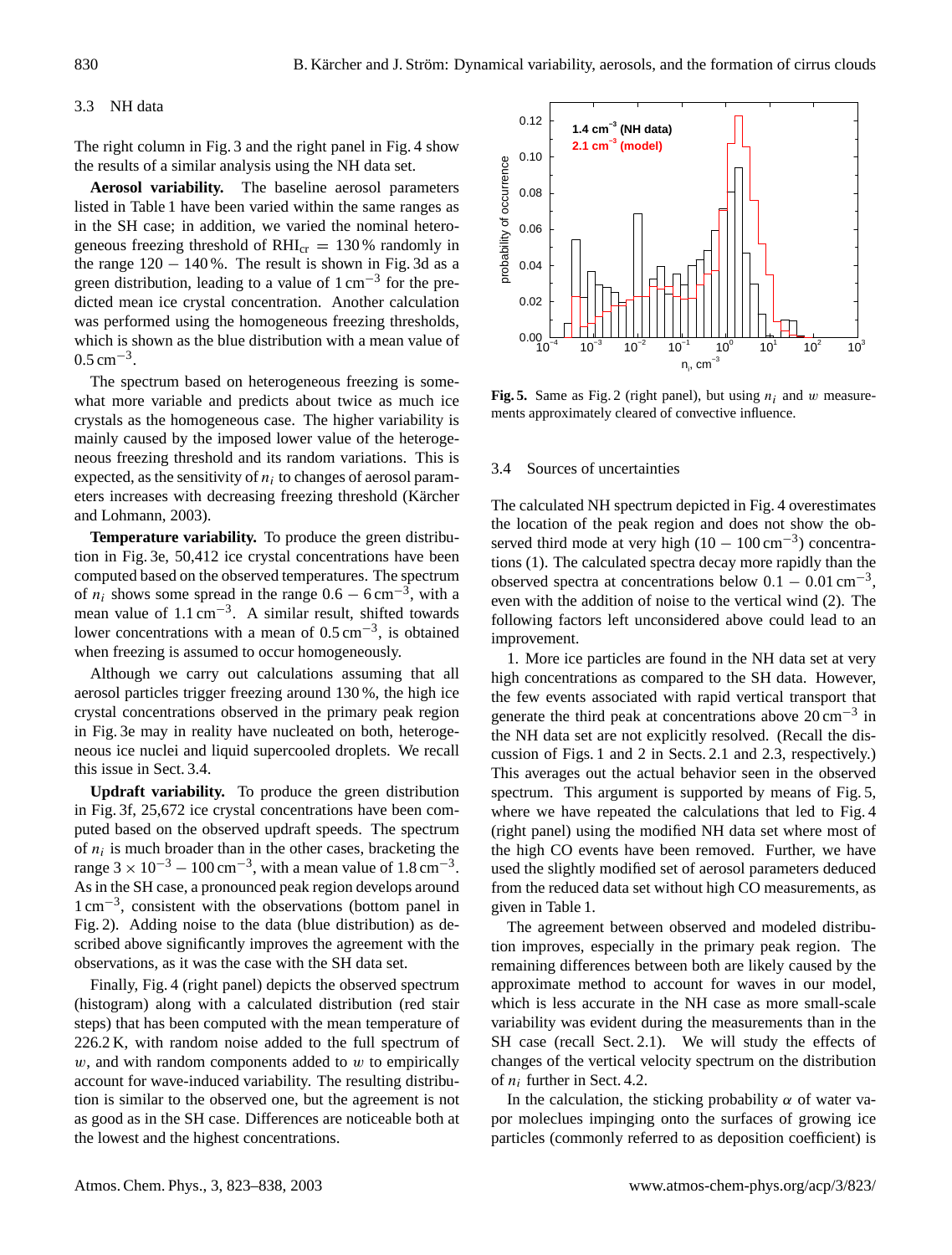# 3.3 NH data

The right column in Fig. 3 and the right panel in Fig. 4 show the results of a similar analysis using the NH data set.

**Aerosol variability.** The baseline aerosol parameters listed in Table 1 have been varied within the same ranges as in the SH case; in addition, we varied the nominal heterogeneous freezing threshold of  $RHI_{cr} = 130\%$  randomly in the range  $120 - 140$ %. The result is shown in Fig. 3d as a green distribution, leading to a value of  $1 \text{ cm}^{-3}$  for the predicted mean ice crystal concentration. Another calculation was performed using the homogeneous freezing thresholds, which is shown as the blue distribution with a mean value of  $0.5 \text{ cm}^{-3}$ .

The spectrum based on heterogeneous freezing is somewhat more variable and predicts about twice as much ice crystals as the homogeneous case. The higher variability is mainly caused by the imposed lower value of the heterogeneous freezing threshold and its random variations. This is expected, as the sensitivity of  $n_i$  to changes of aerosol parameters increases with decreasing freezing threshold (Kärcher and Lohmann, 2003).

**Temperature variability.** To produce the green distribution in Fig. 3e, 50,412 ice crystal concentrations have been computed based on the observed temperatures. The spectrum of  $n_i$  shows some spread in the range 0.6 – 6 cm<sup>-3</sup>, with a mean value of  $1.1 \text{ cm}^{-3}$ . A similar result, shifted towards lower concentrations with a mean of  $0.5 \text{ cm}^{-3}$ , is obtained when freezing is assumed to occur homogeneously.

Although we carry out calculations assuming that all aerosol particles trigger freezing around 130 %, the high ice crystal concentrations observed in the primary peak region in Fig. 3e may in reality have nucleated on both, heterogeneous ice nuclei and liquid supercooled droplets. We recall this issue in Sect. 3.4.

**Updraft variability.** To produce the green distribution in Fig. 3f, 25,672 ice crystal concentrations have been computed based on the observed updraft speeds. The spectrum of  $n_i$  is much broader than in the other cases, bracketing the range  $3 \times 10^{-3} - 100 \text{ cm}^{-3}$ , with a mean value of  $1.8 \text{ cm}^{-3}$ . As in the SH case, a pronounced peak region develops around 1 cm−<sup>3</sup> , consistent with the observations (bottom panel in Fig. 2). Adding noise to the data (blue distribution) as described above significantly improves the agreement with the observations, as it was the case with the SH data set.

Finally, Fig. 4 (right panel) depicts the observed spectrum (histogram) along with a calculated distribution (red stair steps) that has been computed with the mean temperature of 226.2 K, with random noise added to the full spectrum of  $w$ , and with random components added to  $w$  to empirically account for wave-induced variability. The resulting distribution is similar to the observed one, but the agreement is not as good as in the SH case. Differences are noticeable both at the lowest and the highest concentrations.



**Fig. 5.** Same as Fig. 2 (right panel), but using  $n_i$  and w measurements approximately cleared of convective influence.

## 3.4 Sources of uncertainties

The calculated NH spectrum depicted in Fig. 4 overestimates the location of the peak region and does not show the observed third mode at very high  $(10 - 100 \text{ cm}^{-3})$  concentrations (1). The calculated spectra decay more rapidly than the observed spectra at concentrations below  $0.1 - 0.01$  cm<sup>-3</sup>, even with the addition of noise to the vertical wind (2). The following factors left unconsidered above could lead to an improvement.

1. More ice particles are found in the NH data set at very high concentrations as compared to the SH data. However, the few events associated with rapid vertical transport that generate the third peak at concentrations above  $20 \text{ cm}^{-3}$  in the NH data set are not explicitly resolved. (Recall the discussion of Figs. 1 and 2 in Sects. 2.1 and 2.3, respectively.) This averages out the actual behavior seen in the observed spectrum. This argument is supported by means of Fig. 5, where we have repeated the calculations that led to Fig. 4 (right panel) using the modified NH data set where most of the high CO events have been removed. Further, we have used the slightly modified set of aerosol parameters deduced from the reduced data set without high CO measurements, as given in Table 1.

The agreement between observed and modeled distribution improves, especially in the primary peak region. The remaining differences between both are likely caused by the approximate method to account for waves in our model, which is less accurate in the NH case as more small-scale variability was evident during the measurements than in the SH case (recall Sect. 2.1). We will study the effects of changes of the vertical velocity spectrum on the distribution of  $n_i$  further in Sect. 4.2.

In the calculation, the sticking probability  $\alpha$  of water vapor moleclues impinging onto the surfaces of growing ice particles (commonly referred to as deposition coefficient) is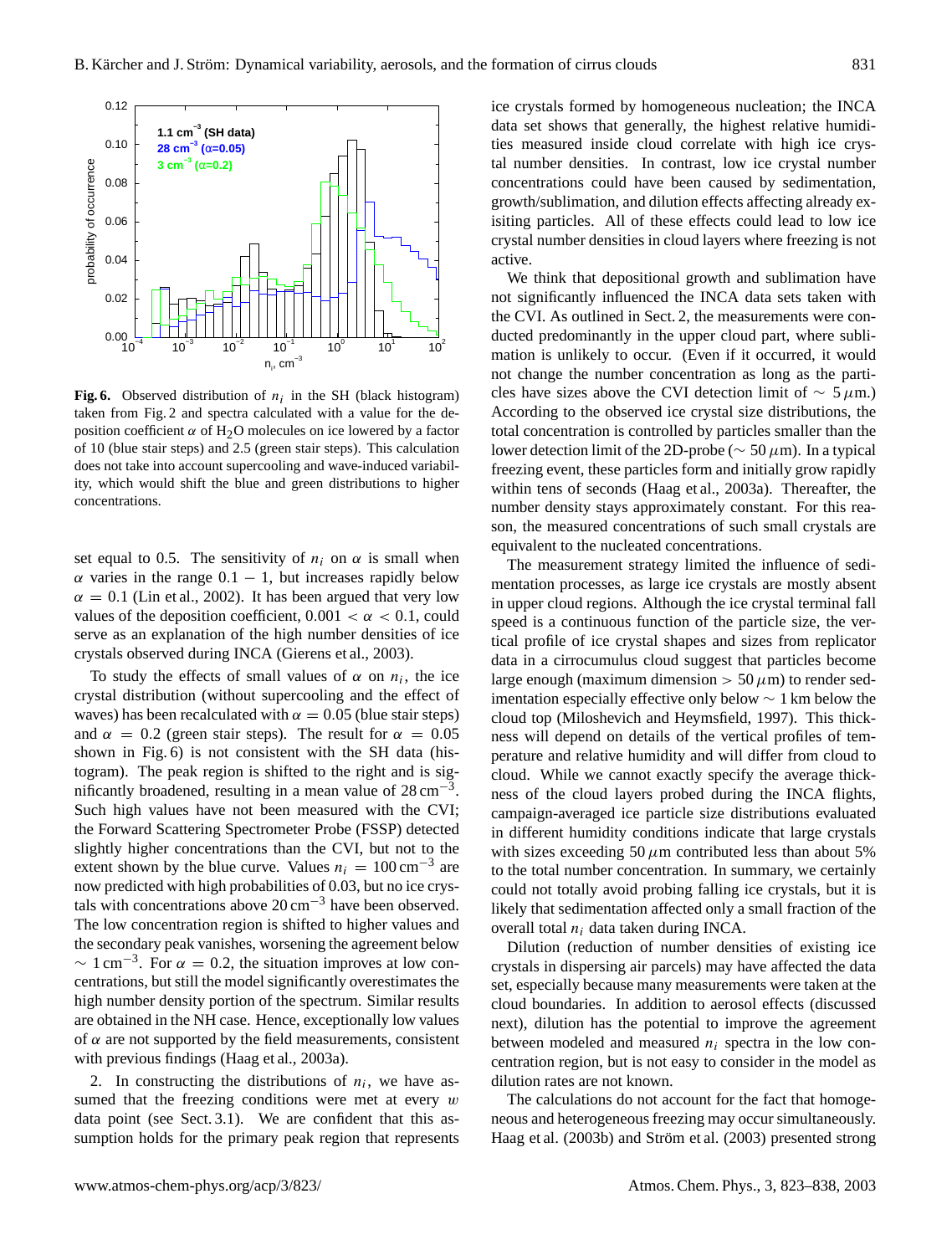

**Fig. 6.** Observed distribution of  $n_i$  in the SH (black histogram) taken from Fig. 2 and spectra calculated with a value for the deposition coefficient  $\alpha$  of H<sub>2</sub>O molecules on ice lowered by a factor of 10 (blue stair steps) and 2.5 (green stair steps). This calculation does not take into account supercooling and wave-induced variability, which would shift the blue and green distributions to higher concentrations.

set equal to 0.5. The sensitivity of  $n_i$  on  $\alpha$  is small when  $\alpha$  varies in the range 0.1 – 1, but increases rapidly below  $\alpha = 0.1$  (Lin et al., 2002). It has been argued that very low values of the deposition coefficient,  $0.001 < \alpha < 0.1$ , could serve as an explanation of the high number densities of ice crystals observed during INCA (Gierens et al., 2003).

To study the effects of small values of  $\alpha$  on  $n_i$ , the ice crystal distribution (without supercooling and the effect of waves) has been recalculated with  $\alpha = 0.05$  (blue stair steps) and  $\alpha = 0.2$  (green stair steps). The result for  $\alpha = 0.05$ shown in Fig. 6) is not consistent with the SH data (histogram). The peak region is shifted to the right and is significantly broadened, resulting in a mean value of  $28 \text{ cm}^{-3}$ . Such high values have not been measured with the CVI; the Forward Scattering Spectrometer Probe (FSSP) detected slightly higher concentrations than the CVI, but not to the extent shown by the blue curve. Values  $n_i = 100 \text{ cm}^{-3}$  are now predicted with high probabilities of 0.03, but no ice crystals with concentrations above  $20 \text{ cm}^{-3}$  have been observed. The low concentration region is shifted to higher values and the secondary peak vanishes, worsening the agreement below  $\sim 1 \text{ cm}^{-3}$ . For  $\alpha = 0.2$ , the situation improves at low concentrations, but still the model significantly overestimates the high number density portion of the spectrum. Similar results are obtained in the NH case. Hence, exceptionally low values of  $\alpha$  are not supported by the field measurements, consistent with previous findings (Haag et al., 2003a).

2. In constructing the distributions of  $n_i$ , we have assumed that the freezing conditions were met at every  $w$ data point (see Sect. 3.1). We are confident that this assumption holds for the primary peak region that represents ice crystals formed by homogeneous nucleation; the INCA data set shows that generally, the highest relative humidities measured inside cloud correlate with high ice crystal number densities. In contrast, low ice crystal number concentrations could have been caused by sedimentation, growth/sublimation, and dilution effects affecting already exisiting particles. All of these effects could lead to low ice crystal number densities in cloud layers where freezing is not active.

We think that depositional growth and sublimation have not significantly influenced the INCA data sets taken with the CVI. As outlined in Sect. 2, the measurements were conducted predominantly in the upper cloud part, where sublimation is unlikely to occur. (Even if it occurred, it would not change the number concentration as long as the particles have sizes above the CVI detection limit of  $\sim$  5  $\mu$ m.) According to the observed ice crystal size distributions, the total concentration is controlled by particles smaller than the lower detection limit of the 2D-probe ( $\sim$  50  $\mu$ m). In a typical freezing event, these particles form and initially grow rapidly within tens of seconds (Haag et al., 2003a). Thereafter, the number density stays approximately constant. For this reason, the measured concentrations of such small crystals are equivalent to the nucleated concentrations.

The measurement strategy limited the influence of sedimentation processes, as large ice crystals are mostly absent in upper cloud regions. Although the ice crystal terminal fall speed is a continuous function of the particle size, the vertical profile of ice crystal shapes and sizes from replicator data in a cirrocumulus cloud suggest that particles become large enough (maximum dimension  $> 50 \,\mu m$ ) to render sedimentation especially effective only below  $\sim 1$  km below the cloud top (Miloshevich and Heymsfield, 1997). This thickness will depend on details of the vertical profiles of temperature and relative humidity and will differ from cloud to cloud. While we cannot exactly specify the average thickness of the cloud layers probed during the INCA flights, campaign-averaged ice particle size distributions evaluated in different humidity conditions indicate that large crystals with sizes exceeding 50  $\mu$ m contributed less than about 5% to the total number concentration. In summary, we certainly could not totally avoid probing falling ice crystals, but it is likely that sedimentation affected only a small fraction of the overall total  $n_i$  data taken during INCA.

Dilution (reduction of number densities of existing ice crystals in dispersing air parcels) may have affected the data set, especially because many measurements were taken at the cloud boundaries. In addition to aerosol effects (discussed next), dilution has the potential to improve the agreement between modeled and measured  $n_i$  spectra in the low concentration region, but is not easy to consider in the model as dilution rates are not known.

The calculations do not account for the fact that homogeneous and heterogeneous freezing may occur simultaneously. Haag et al. (2003b) and Ström et al. (2003) presented strong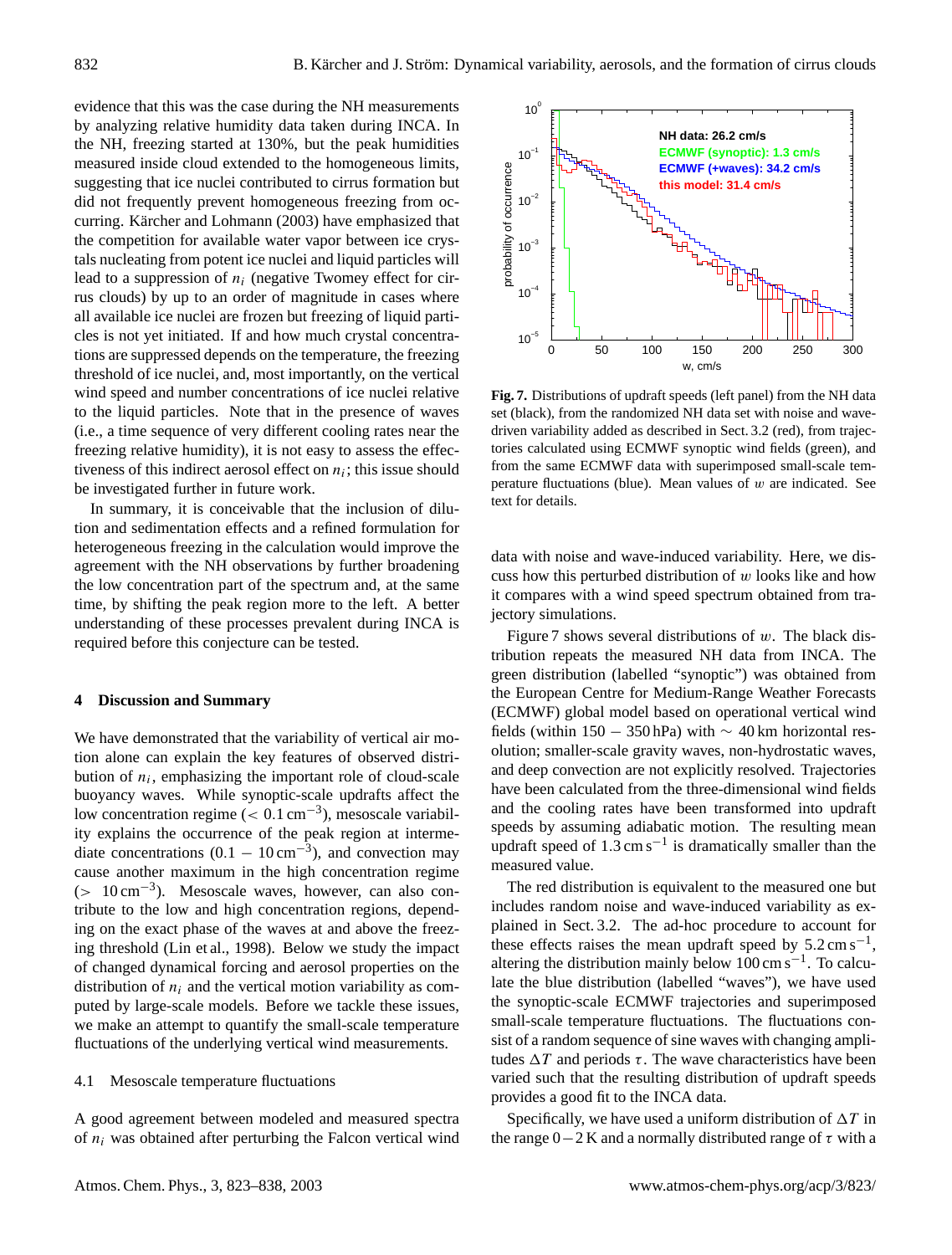evidence that this was the case during the NH measurements by analyzing relative humidity data taken during INCA. In the NH, freezing started at 130%, but the peak humidities measured inside cloud extended to the homogeneous limits, suggesting that ice nuclei contributed to cirrus formation but did not frequently prevent homogeneous freezing from occurring. Kärcher and Lohmann (2003) have emphasized that the competition for available water vapor between ice crystals nucleating from potent ice nuclei and liquid particles will lead to a suppression of  $n_i$  (negative Twomey effect for cirrus clouds) by up to an order of magnitude in cases where all available ice nuclei are frozen but freezing of liquid particles is not yet initiated. If and how much crystal concentrations are suppressed depends on the temperature, the freezing threshold of ice nuclei, and, most importantly, on the vertical wind speed and number concentrations of ice nuclei relative to the liquid particles. Note that in the presence of waves (i.e., a time sequence of very different cooling rates near the freezing relative humidity), it is not easy to assess the effectiveness of this indirect aerosol effect on  $n_i$ ; this issue should be investigated further in future work.

In summary, it is conceivable that the inclusion of dilution and sedimentation effects and a refined formulation for heterogeneous freezing in the calculation would improve the agreement with the NH observations by further broadening the low concentration part of the spectrum and, at the same time, by shifting the peak region more to the left. A better understanding of these processes prevalent during INCA is required before this conjecture can be tested.

#### **4 Discussion and Summary**

We have demonstrated that the variability of vertical air motion alone can explain the key features of observed distribution of  $n_i$ , emphasizing the important role of cloud-scale buoyancy waves. While synoptic-scale updrafts affect the low concentration regime  $(< 0.1 \text{ cm}^{-3})$ , mesoscale variability explains the occurrence of the peak region at intermediate concentrations  $(0.1 - 10 \text{ cm}^{-3})$ , and convection may cause another maximum in the high concentration regime (> 10 cm−<sup>3</sup> ). Mesoscale waves, however, can also contribute to the low and high concentration regions, depending on the exact phase of the waves at and above the freezing threshold (Lin et al., 1998). Below we study the impact of changed dynamical forcing and aerosol properties on the distribution of  $n_i$  and the vertical motion variability as computed by large-scale models. Before we tackle these issues, we make an attempt to quantify the small-scale temperature fluctuations of the underlying vertical wind measurements.

#### 4.1 Mesoscale temperature fluctuations

A good agreement between modeled and measured spectra of  $n_i$  was obtained after perturbing the Falcon vertical wind

 $10^{\circ}$ **NH data: 26.2 cm/s ECMWF (synoptic): 1.3 cm/s**  $10^{-1}$ **ECMWF (+waves): 34.2 cm/s** probability of occurrence probability of occurrence **this model: 31.4 cm/s**  $10^{-2}$  $10^{-3}$  $10^{-1}$  $10^{-5}$ 0 50 100 150 200 250 300 w, cm/s

**Fig. 7.** Distributions of updraft speeds (left panel) from the NH data set (black), from the randomized NH data set with noise and wavedriven variability added as described in Sect. 3.2 (red), from trajectories calculated using ECMWF synoptic wind fields (green), and from the same ECMWF data with superimposed small-scale temperature fluctuations (blue). Mean values of  $w$  are indicated. See text for details.

data with noise and wave-induced variability. Here, we discuss how this perturbed distribution of  $w$  looks like and how it compares with a wind speed spectrum obtained from trajectory simulations.

Figure 7 shows several distributions of  $w$ . The black distribution repeats the measured NH data from INCA. The green distribution (labelled "synoptic") was obtained from the European Centre for Medium-Range Weather Forecasts (ECMWF) global model based on operational vertical wind fields (within 150 − 350 hPa) with  $\sim$  40 km horizontal resolution; smaller-scale gravity waves, non-hydrostatic waves, and deep convection are not explicitly resolved. Trajectories have been calculated from the three-dimensional wind fields and the cooling rates have been transformed into updraft speeds by assuming adiabatic motion. The resulting mean updraft speed of  $1.3 \text{ cm s}^{-1}$  is dramatically smaller than the measured value.

The red distribution is equivalent to the measured one but includes random noise and wave-induced variability as explained in Sect. 3.2. The ad-hoc procedure to account for these effects raises the mean updraft speed by  $5.2 \text{ cm s}^{-1}$ , altering the distribution mainly below 100 cm s−<sup>1</sup> . To calculate the blue distribution (labelled "waves"), we have used the synoptic-scale ECMWF trajectories and superimposed small-scale temperature fluctuations. The fluctuations consist of a random sequence of sine waves with changing amplitudes  $\Delta T$  and periods  $\tau$ . The wave characteristics have been varied such that the resulting distribution of updraft speeds provides a good fit to the INCA data.

Specifically, we have used a uniform distribution of  $\Delta T$  in the range  $0-2K$  and a normally distributed range of  $\tau$  with a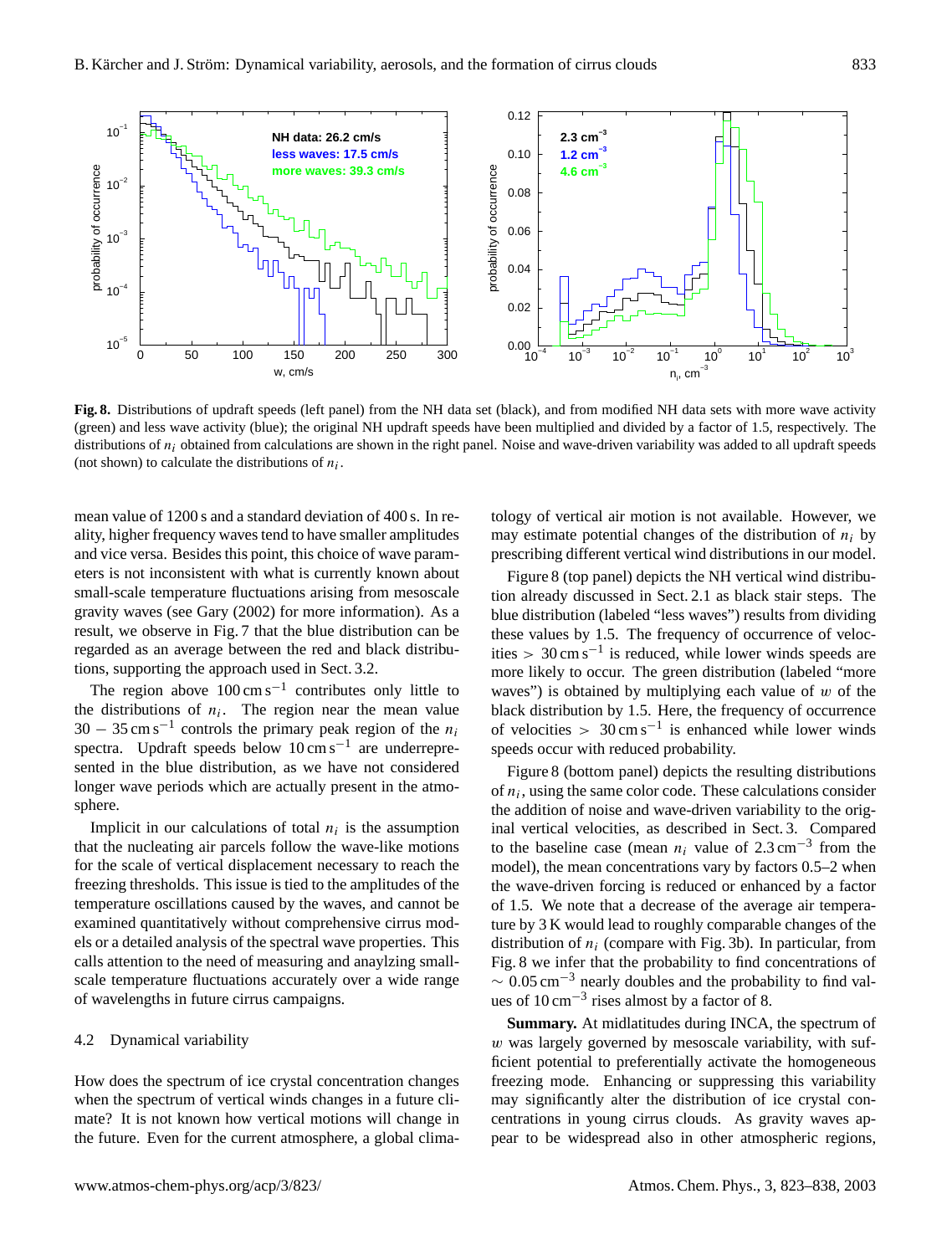

**Fig. 8.** Distributions of updraft speeds (left panel) from the NH data set (black), and from modified NH data sets with more wave activity (green) and less wave activity (blue); the original NH updraft speeds have been multiplied and divided by a factor of 1.5, respectively. The distributions of  $n_i$  obtained from calculations are shown in the right panel. Noise and wave-driven variability was added to all updraft speeds (not shown) to calculate the distributions of  $n_i$ .

mean value of 1200 s and a standard deviation of 400 s. In reality, higher frequency waves tend to have smaller amplitudes and vice versa. Besides this point, this choice of wave parameters is not inconsistent with what is currently known about small-scale temperature fluctuations arising from mesoscale gravity waves (see Gary (2002) for more information). As a result, we observe in Fig. 7 that the blue distribution can be regarded as an average between the red and black distributions, supporting the approach used in Sect. 3.2.

The region above  $100 \text{ cm s}^{-1}$  contributes only little to the distributions of  $n_i$ . The region near the mean value  $30 - 35 \text{ cm s}^{-1}$  controls the primary peak region of the  $n_i$ spectra. Updraft speeds below 10 cm s<sup>-1</sup> are underrepresented in the blue distribution, as we have not considered longer wave periods which are actually present in the atmosphere.

Implicit in our calculations of total  $n_i$  is the assumption that the nucleating air parcels follow the wave-like motions for the scale of vertical displacement necessary to reach the freezing thresholds. This issue is tied to the amplitudes of the temperature oscillations caused by the waves, and cannot be examined quantitatively without comprehensive cirrus models or a detailed analysis of the spectral wave properties. This calls attention to the need of measuring and anaylzing smallscale temperature fluctuations accurately over a wide range of wavelengths in future cirrus campaigns.

#### 4.2 Dynamical variability

How does the spectrum of ice crystal concentration changes when the spectrum of vertical winds changes in a future climate? It is not known how vertical motions will change in the future. Even for the current atmosphere, a global climatology of vertical air motion is not available. However, we may estimate potential changes of the distribution of  $n_i$  by prescribing different vertical wind distributions in our model.

Figure 8 (top panel) depicts the NH vertical wind distribution already discussed in Sect. 2.1 as black stair steps. The blue distribution (labeled "less waves") results from dividing these values by 1.5. The frequency of occurrence of velocities >  $30 \text{ cm s}^{-1}$  is reduced, while lower winds speeds are more likely to occur. The green distribution (labeled "more waves") is obtained by multiplying each value of  $w$  of the black distribution by 1.5. Here, the frequency of occurrence of velocities >  $30 \text{ cm s}^{-1}$  is enhanced while lower winds speeds occur with reduced probability.

Figure 8 (bottom panel) depicts the resulting distributions of  $n_i$ , using the same color code. These calculations consider the addition of noise and wave-driven variability to the original vertical velocities, as described in Sect. 3. Compared to the baseline case (mean  $n_i$  value of 2.3 cm<sup>-3</sup> from the model), the mean concentrations vary by factors 0.5–2 when the wave-driven forcing is reduced or enhanced by a factor of 1.5. We note that a decrease of the average air temperature by 3 K would lead to roughly comparable changes of the distribution of  $n_i$  (compare with Fig. 3b). In particular, from Fig. 8 we infer that the probability to find concentrations of  $\sim 0.05$  cm<sup>-3</sup> nearly doubles and the probability to find values of 10 cm−<sup>3</sup> rises almost by a factor of 8.

**Summary.** At midlatitudes during INCA, the spectrum of  $w$  was largely governed by mesoscale variability, with sufficient potential to preferentially activate the homogeneous freezing mode. Enhancing or suppressing this variability may significantly alter the distribution of ice crystal concentrations in young cirrus clouds. As gravity waves appear to be widespread also in other atmospheric regions,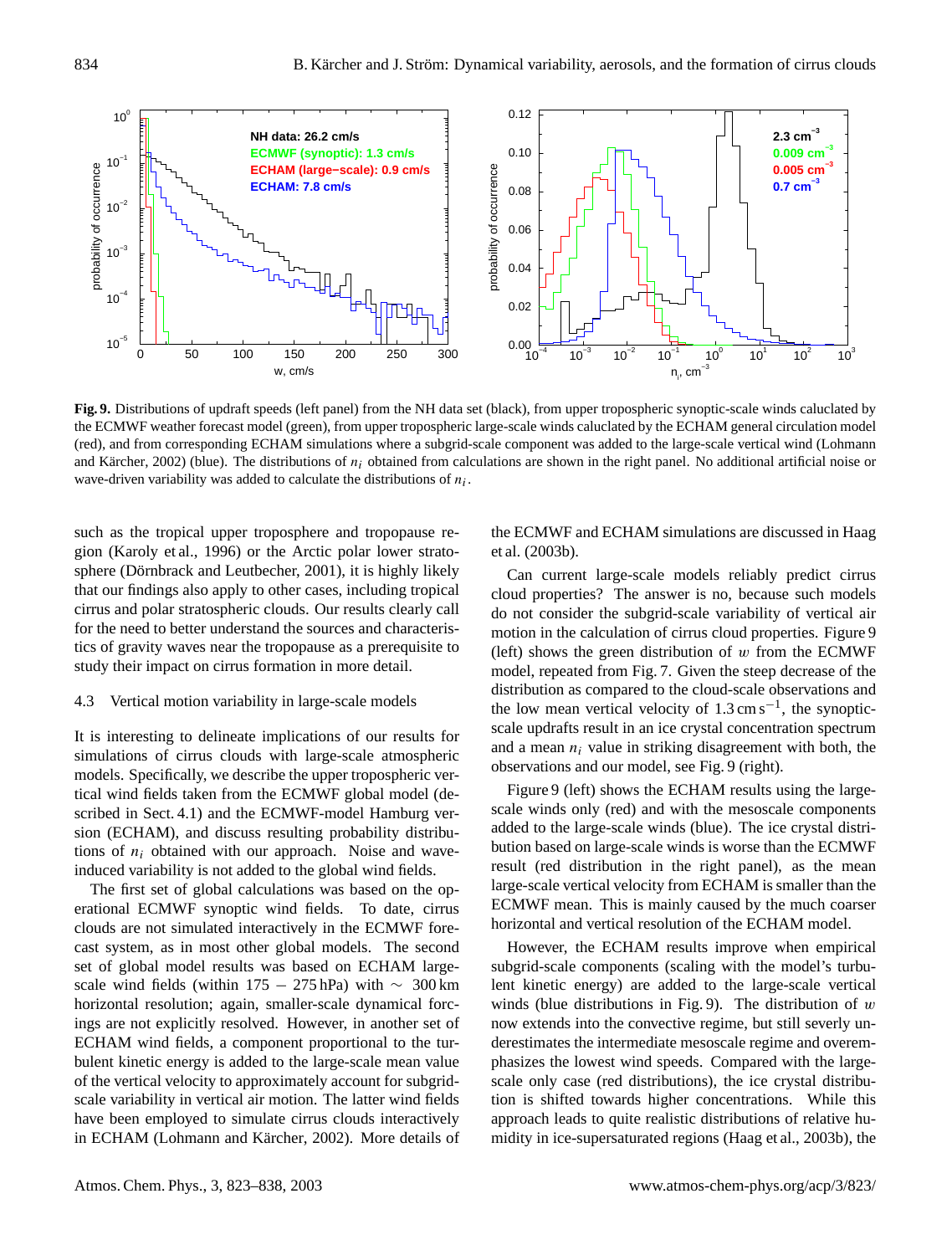

**Fig. 9.** Distributions of updraft speeds (left panel) from the NH data set (black), from upper tropospheric synoptic-scale winds caluclated by the ECMWF weather forecast model (green), from upper tropospheric large-scale winds caluclated by the ECHAM general circulation model (red), and from corresponding ECHAM simulations where a subgrid-scale component was added to the large-scale vertical wind (Lohmann and Kärcher, 2002) (blue). The distributions of  $n_i$  obtained from calculations are shown in the right panel. No additional artificial noise or wave-driven variability was added to calculate the distributions of  $n_i$ .

such as the tropical upper troposphere and tropopause region (Karoly et al., 1996) or the Arctic polar lower stratosphere (Dörnbrack and Leutbecher, 2001), it is highly likely that our findings also apply to other cases, including tropical cirrus and polar stratospheric clouds. Our results clearly call for the need to better understand the sources and characteristics of gravity waves near the tropopause as a prerequisite to study their impact on cirrus formation in more detail.

#### 4.3 Vertical motion variability in large-scale models

It is interesting to delineate implications of our results for simulations of cirrus clouds with large-scale atmospheric models. Specifically, we describe the upper tropospheric vertical wind fields taken from the ECMWF global model (described in Sect. 4.1) and the ECMWF-model Hamburg version (ECHAM), and discuss resulting probability distributions of  $n_i$  obtained with our approach. Noise and waveinduced variability is not added to the global wind fields.

The first set of global calculations was based on the operational ECMWF synoptic wind fields. To date, cirrus clouds are not simulated interactively in the ECMWF forecast system, as in most other global models. The second set of global model results was based on ECHAM largescale wind fields (within  $175 - 275$  hPa) with ∼ 300 km horizontal resolution; again, smaller-scale dynamical forcings are not explicitly resolved. However, in another set of ECHAM wind fields, a component proportional to the turbulent kinetic energy is added to the large-scale mean value of the vertical velocity to approximately account for subgridscale variability in vertical air motion. The latter wind fields have been employed to simulate cirrus clouds interactively in ECHAM (Lohmann and Kärcher, 2002). More details of the ECMWF and ECHAM simulations are discussed in Haag et al. (2003b).

Can current large-scale models reliably predict cirrus cloud properties? The answer is no, because such models do not consider the subgrid-scale variability of vertical air motion in the calculation of cirrus cloud properties. Figure 9 (left) shows the green distribution of  $w$  from the ECMWF model, repeated from Fig. 7. Given the steep decrease of the distribution as compared to the cloud-scale observations and the low mean vertical velocity of  $1.3 \text{ cm s}^{-1}$ , the synopticscale updrafts result in an ice crystal concentration spectrum and a mean  $n_i$  value in striking disagreement with both, the observations and our model, see Fig. 9 (right).

Figure 9 (left) shows the ECHAM results using the largescale winds only (red) and with the mesoscale components added to the large-scale winds (blue). The ice crystal distribution based on large-scale winds is worse than the ECMWF result (red distribution in the right panel), as the mean large-scale vertical velocity from ECHAM is smaller than the ECMWF mean. This is mainly caused by the much coarser horizontal and vertical resolution of the ECHAM model.

However, the ECHAM results improve when empirical subgrid-scale components (scaling with the model's turbulent kinetic energy) are added to the large-scale vertical winds (blue distributions in Fig. 9). The distribution of  $w$ now extends into the convective regime, but still severly underestimates the intermediate mesoscale regime and overemphasizes the lowest wind speeds. Compared with the largescale only case (red distributions), the ice crystal distribution is shifted towards higher concentrations. While this approach leads to quite realistic distributions of relative humidity in ice-supersaturated regions (Haag et al., 2003b), the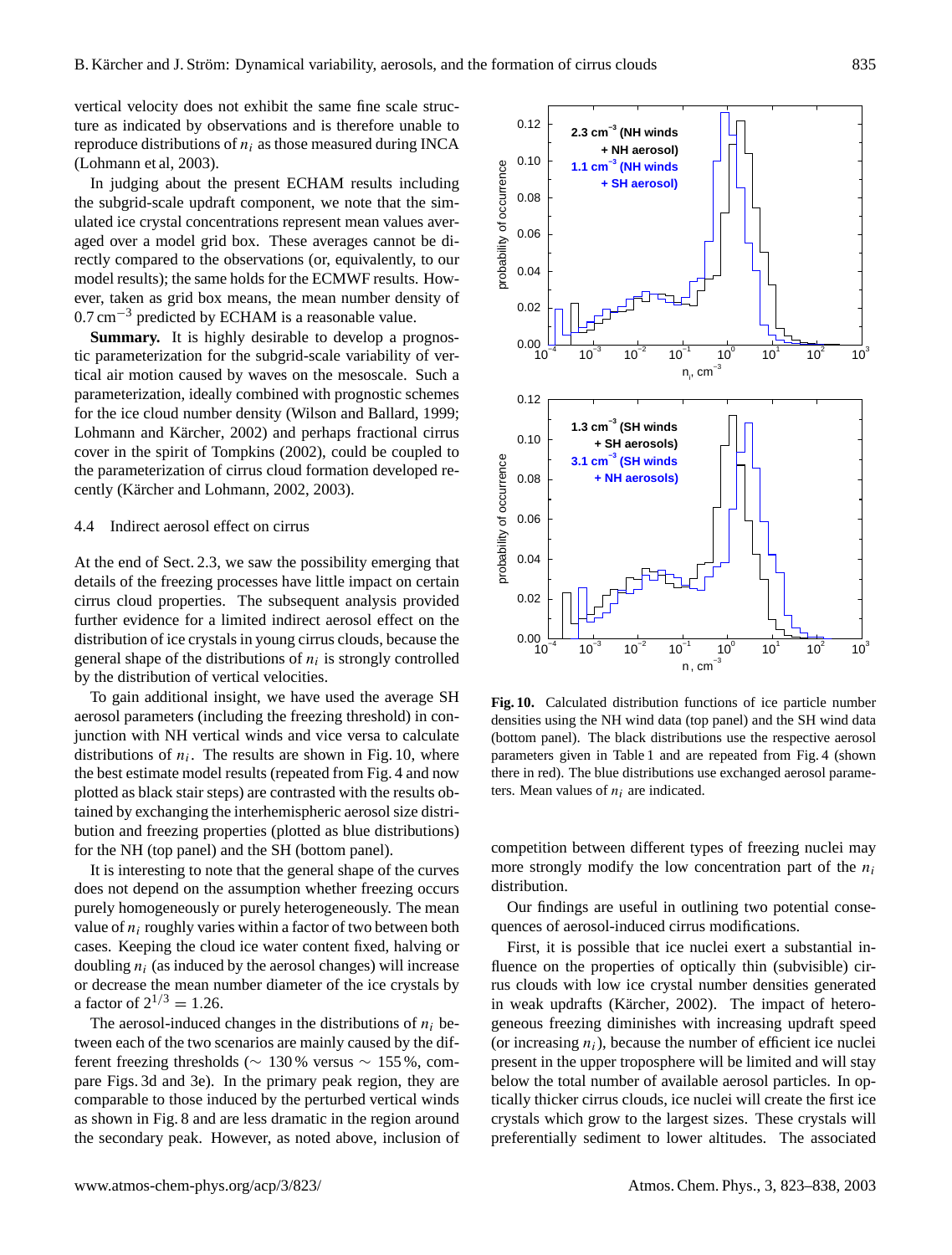vertical velocity does not exhibit the same fine scale structure as indicated by observations and is therefore unable to reproduce distributions of  $n_i$  as those measured during INCA (Lohmann et al, 2003).

In judging about the present ECHAM results including the subgrid-scale updraft component, we note that the simulated ice crystal concentrations represent mean values averaged over a model grid box. These averages cannot be directly compared to the observations (or, equivalently, to our model results); the same holds for the ECMWF results. However, taken as grid box means, the mean number density of  $0.7 \text{ cm}^{-3}$  predicted by ECHAM is a reasonable value.

**Summary.** It is highly desirable to develop a prognostic parameterization for the subgrid-scale variability of vertical air motion caused by waves on the mesoscale. Such a parameterization, ideally combined with prognostic schemes for the ice cloud number density (Wilson and Ballard, 1999; Lohmann and Kärcher, 2002) and perhaps fractional cirrus cover in the spirit of Tompkins (2002), could be coupled to the parameterization of cirrus cloud formation developed recently (Kärcher and Lohmann, 2002, 2003).

# 4.4 Indirect aerosol effect on cirrus

At the end of Sect. 2.3, we saw the possibility emerging that details of the freezing processes have little impact on certain cirrus cloud properties. The subsequent analysis provided further evidence for a limited indirect aerosol effect on the distribution of ice crystals in young cirrus clouds, because the general shape of the distributions of  $n_i$  is strongly controlled by the distribution of vertical velocities.

To gain additional insight, we have used the average SH aerosol parameters (including the freezing threshold) in conjunction with NH vertical winds and vice versa to calculate distributions of  $n_i$ . The results are shown in Fig. 10, where the best estimate model results (repeated from Fig. 4 and now plotted as black stair steps) are contrasted with the results obtained by exchanging the interhemispheric aerosol size distribution and freezing properties (plotted as blue distributions) for the NH (top panel) and the SH (bottom panel).

It is interesting to note that the general shape of the curves does not depend on the assumption whether freezing occurs purely homogeneously or purely heterogeneously. The mean value of  $n_i$  roughly varies within a factor of two between both cases. Keeping the cloud ice water content fixed, halving or doubling  $n_i$  (as induced by the aerosol changes) will increase or decrease the mean number diameter of the ice crystals by a factor of  $2^{1/3} = 1.26$ .

The aerosol-induced changes in the distributions of  $n_i$  between each of the two scenarios are mainly caused by the different freezing thresholds (∼ 130 % versus ∼ 155 %, compare Figs. 3d and 3e). In the primary peak region, they are comparable to those induced by the perturbed vertical winds as shown in Fig. 8 and are less dramatic in the region around the secondary peak. However, as noted above, inclusion of



**Fig. 10.** Calculated distribution functions of ice particle number densities using the NH wind data (top panel) and the SH wind data (bottom panel). The black distributions use the respective aerosol parameters given in Table 1 and are repeated from Fig. 4 (shown there in red). The blue distributions use exchanged aerosol parameters. Mean values of  $n_i$  are indicated.

competition between different types of freezing nuclei may more strongly modify the low concentration part of the  $n_i$ distribution.

Our findings are useful in outlining two potential consequences of aerosol-induced cirrus modifications.

First, it is possible that ice nuclei exert a substantial influence on the properties of optically thin (subvisible) cirrus clouds with low ice crystal number densities generated in weak updrafts (Kärcher, 2002). The impact of heterogeneous freezing diminishes with increasing updraft speed (or increasing  $n_i$ ), because the number of efficient ice nuclei present in the upper troposphere will be limited and will stay below the total number of available aerosol particles. In optically thicker cirrus clouds, ice nuclei will create the first ice crystals which grow to the largest sizes. These crystals will preferentially sediment to lower altitudes. The associated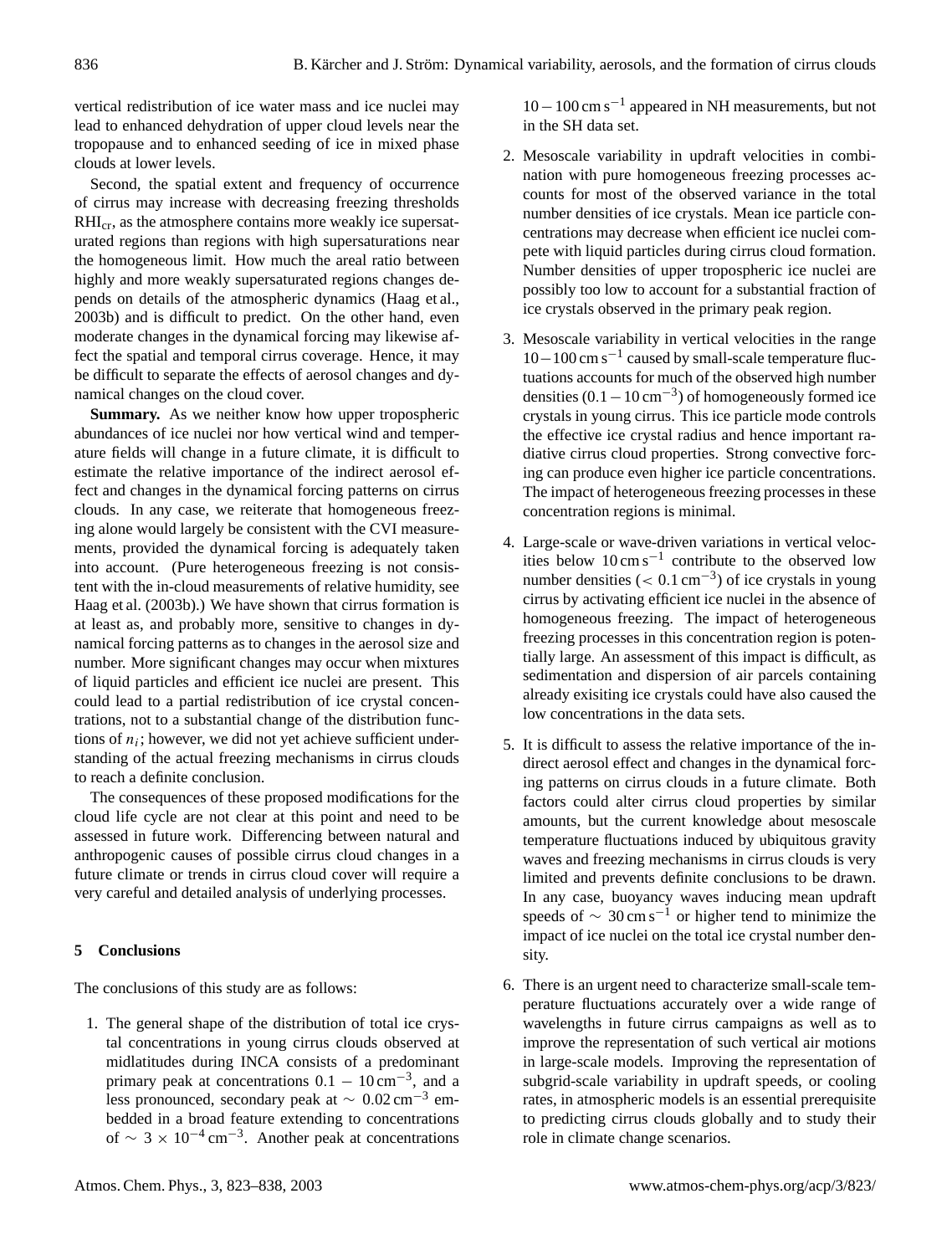vertical redistribution of ice water mass and ice nuclei may lead to enhanced dehydration of upper cloud levels near the tropopause and to enhanced seeding of ice in mixed phase clouds at lower levels.

Second, the spatial extent and frequency of occurrence of cirrus may increase with decreasing freezing thresholds RHIcr, as the atmosphere contains more weakly ice supersaturated regions than regions with high supersaturations near the homogeneous limit. How much the areal ratio between highly and more weakly supersaturated regions changes depends on details of the atmospheric dynamics (Haag et al., 2003b) and is difficult to predict. On the other hand, even moderate changes in the dynamical forcing may likewise affect the spatial and temporal cirrus coverage. Hence, it may be difficult to separate the effects of aerosol changes and dynamical changes on the cloud cover.

Summary. As we neither know how upper tropospheric abundances of ice nuclei nor how vertical wind and temperature fields will change in a future climate, it is difficult to estimate the relative importance of the indirect aerosol effect and changes in the dynamical forcing patterns on cirrus clouds. In any case, we reiterate that homogeneous freezing alone would largely be consistent with the CVI measurements, provided the dynamical forcing is adequately taken into account. (Pure heterogeneous freezing is not consistent with the in-cloud measurements of relative humidity, see Haag et al. (2003b).) We have shown that cirrus formation is at least as, and probably more, sensitive to changes in dynamical forcing patterns as to changes in the aerosol size and number. More significant changes may occur when mixtures of liquid particles and efficient ice nuclei are present. This could lead to a partial redistribution of ice crystal concentrations, not to a substantial change of the distribution functions of  $n_i$ ; however, we did not yet achieve sufficient understanding of the actual freezing mechanisms in cirrus clouds to reach a definite conclusion.

The consequences of these proposed modifications for the cloud life cycle are not clear at this point and need to be assessed in future work. Differencing between natural and anthropogenic causes of possible cirrus cloud changes in a future climate or trends in cirrus cloud cover will require a very careful and detailed analysis of underlying processes.

# **5 Conclusions**

The conclusions of this study are as follows:

1. The general shape of the distribution of total ice crystal concentrations in young cirrus clouds observed at midlatitudes during INCA consists of a predominant primary peak at concentrations  $0.1 - 10 \text{ cm}^{-3}$ , and a less pronounced, secondary peak at  $\sim 0.02 \text{ cm}^{-3}$  embedded in a broad feature extending to concentrations of  $\sim 3 \times 10^{-4}$  cm<sup>-3</sup>. Another peak at concentrations

10−100 cm s−<sup>1</sup> appeared in NH measurements, but not in the SH data set.

- 2. Mesoscale variability in updraft velocities in combination with pure homogeneous freezing processes accounts for most of the observed variance in the total number densities of ice crystals. Mean ice particle concentrations may decrease when efficient ice nuclei compete with liquid particles during cirrus cloud formation. Number densities of upper tropospheric ice nuclei are possibly too low to account for a substantial fraction of ice crystals observed in the primary peak region.
- 3. Mesoscale variability in vertical velocities in the range 10−100 cm s−<sup>1</sup> caused by small-scale temperature fluctuations accounts for much of the observed high number densities  $(0.1 - 10 \text{ cm}^{-3})$  of homogeneously formed ice crystals in young cirrus. This ice particle mode controls the effective ice crystal radius and hence important radiative cirrus cloud properties. Strong convective forcing can produce even higher ice particle concentrations. The impact of heterogeneous freezing processes in these concentration regions is minimal.
- 4. Large-scale or wave-driven variations in vertical velocities below  $10 \text{ cm s}^{-1}$  contribute to the observed low number densities  $(< 0.1 \text{ cm}^{-3})$  of ice crystals in young cirrus by activating efficient ice nuclei in the absence of homogeneous freezing. The impact of heterogeneous freezing processes in this concentration region is potentially large. An assessment of this impact is difficult, as sedimentation and dispersion of air parcels containing already exisiting ice crystals could have also caused the low concentrations in the data sets.
- 5. It is difficult to assess the relative importance of the indirect aerosol effect and changes in the dynamical forcing patterns on cirrus clouds in a future climate. Both factors could alter cirrus cloud properties by similar amounts, but the current knowledge about mesoscale temperature fluctuations induced by ubiquitous gravity waves and freezing mechanisms in cirrus clouds is very limited and prevents definite conclusions to be drawn. In any case, buoyancy waves inducing mean updraft speeds of  $\sim 30 \text{ cm s}^{-1}$  or higher tend to minimize the impact of ice nuclei on the total ice crystal number density.
- 6. There is an urgent need to characterize small-scale temperature fluctuations accurately over a wide range of wavelengths in future cirrus campaigns as well as to improve the representation of such vertical air motions in large-scale models. Improving the representation of subgrid-scale variability in updraft speeds, or cooling rates, in atmospheric models is an essential prerequisite to predicting cirrus clouds globally and to study their role in climate change scenarios.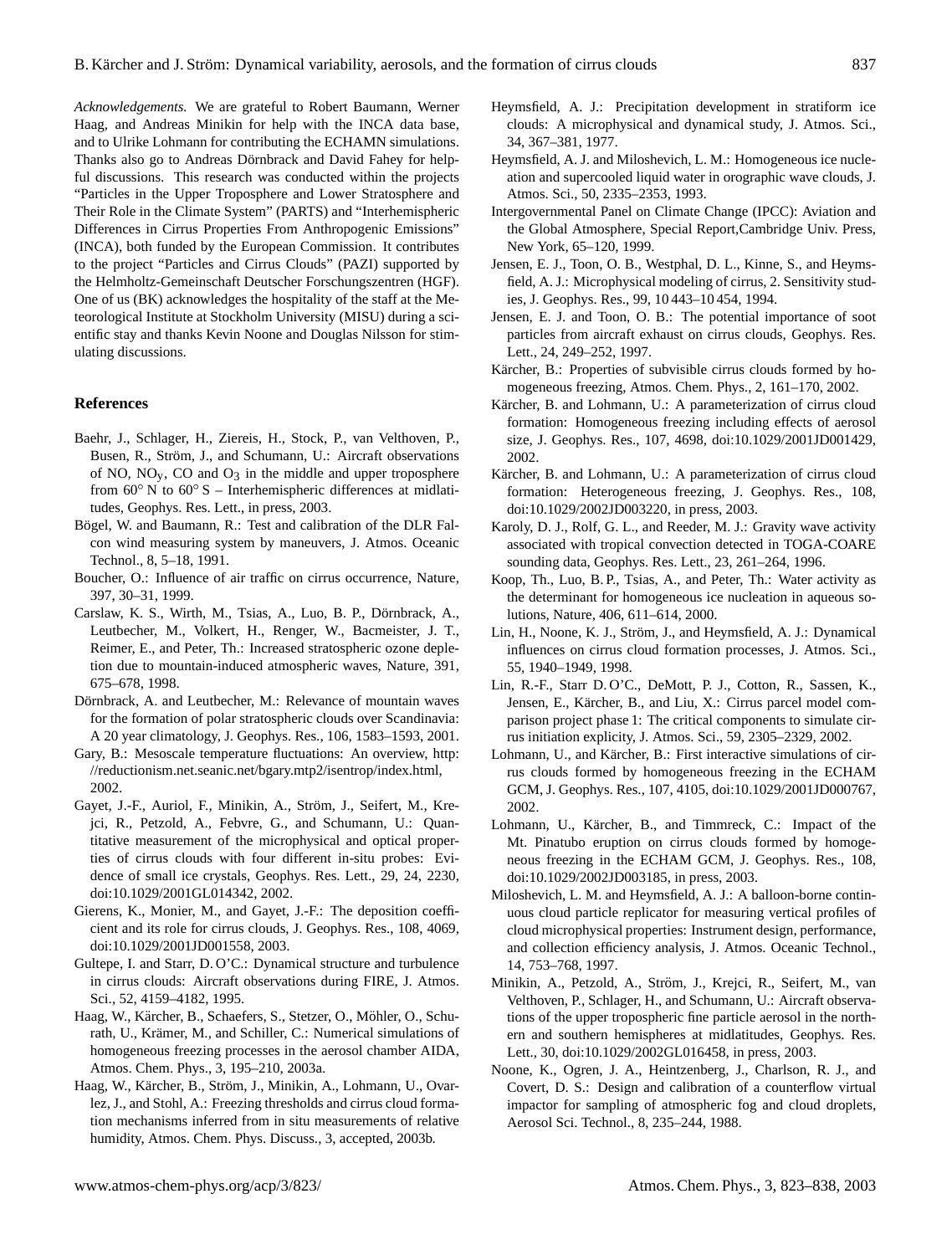*Acknowledgements.* We are grateful to Robert Baumann, Werner Haag, and Andreas Minikin for help with the INCA data base, and to Ulrike Lohmann for contributing the ECHAMN simulations. Thanks also go to Andreas Dörnbrack and David Fahey for helpful discussions. This research was conducted within the projects "Particles in the Upper Troposphere and Lower Stratosphere and Their Role in the Climate System" (PARTS) and "Interhemispheric Differences in Cirrus Properties From Anthropogenic Emissions" (INCA), both funded by the European Commission. It contributes to the project "Particles and Cirrus Clouds" (PAZI) supported by the Helmholtz-Gemeinschaft Deutscher Forschungszentren (HGF). One of us (BK) acknowledges the hospitality of the staff at the Meteorological Institute at Stockholm University (MISU) during a scientific stay and thanks Kevin Noone and Douglas Nilsson for stimulating discussions.

# **References**

- Baehr, J., Schlager, H., Ziereis, H., Stock, P., van Velthoven, P., Busen, R., Ström, J., and Schumann, U.: Aircraft observations of NO,  $NO<sub>v</sub>$ , CO and  $O<sub>3</sub>$  in the middle and upper troposphere from 60◦ N to 60◦ S – Interhemispheric differences at midlatitudes, Geophys. Res. Lett., in press, 2003.
- Bögel, W. and Baumann, R.: Test and calibration of the DLR Falcon wind measuring system by maneuvers, J. Atmos. Oceanic Technol., 8, 5–18, 1991.
- Boucher, O.: Influence of air traffic on cirrus occurrence, Nature, 397, 30–31, 1999.
- Carslaw, K. S., Wirth, M., Tsias, A., Luo, B. P., Dörnbrack, A., Leutbecher, M., Volkert, H., Renger, W., Bacmeister, J. T., Reimer, E., and Peter, Th.: Increased stratospheric ozone depletion due to mountain-induced atmospheric waves, Nature, 391, 675–678, 1998.
- Dörnbrack, A. and Leutbecher, M.: Relevance of mountain waves for the formation of polar stratospheric clouds over Scandinavia: A 20 year climatology, J. Geophys. Res., 106, 1583–1593, 2001.
- Gary, B.: Mesoscale temperature fluctuations: An overview, http: //reductionism.net.seanic.net/bgary.mtp2/isentrop/index.html, 2002.
- Gayet, J.-F., Auriol, F., Minikin, A., Ström, J., Seifert, M., Krejci, R., Petzold, A., Febvre, G., and Schumann, U.: Quantitative measurement of the microphysical and optical properties of cirrus clouds with four different in-situ probes: Evidence of small ice crystals, Geophys. Res. Lett., 29, 24, 2230, doi:10.1029/2001GL014342, 2002.
- Gierens, K., Monier, M., and Gayet, J.-F.: The deposition coefficient and its role for cirrus clouds, J. Geophys. Res., 108, 4069, doi:10.1029/2001JD001558, 2003.
- Gultepe, I. and Starr, D. O'C.: Dynamical structure and turbulence in cirrus clouds: Aircraft observations during FIRE, J. Atmos. Sci., 52, 4159–4182, 1995.
- Haag, W., Kärcher, B., Schaefers, S., Stetzer, O., Möhler, O., Schurath, U., Krämer, M., and Schiller, C.: Numerical simulations of homogeneous freezing processes in the aerosol chamber AIDA, Atmos. Chem. Phys., 3, 195–210, 2003a.
- Haag, W., Kärcher, B., Ström, J., Minikin, A., Lohmann, U., Ovarlez, J., and Stohl, A.: Freezing thresholds and cirrus cloud formation mechanisms inferred from in situ measurements of relative humidity, Atmos. Chem. Phys. Discuss., 3, accepted, 2003b.
- Heymsfield, A. J.: Precipitation development in stratiform ice clouds: A microphysical and dynamical study, J. Atmos. Sci., 34, 367–381, 1977.
- Heymsfield, A. J. and Miloshevich, L. M.: Homogeneous ice nucleation and supercooled liquid water in orographic wave clouds, J. Atmos. Sci., 50, 2335–2353, 1993.
- Intergovernmental Panel on Climate Change (IPCC): Aviation and the Global Atmosphere, Special Report,Cambridge Univ. Press, New York, 65–120, 1999.
- Jensen, E. J., Toon, O. B., Westphal, D. L., Kinne, S., and Heymsfield, A. J.: Microphysical modeling of cirrus, 2. Sensitivity studies, J. Geophys. Res., 99, 10 443–10 454, 1994.
- Jensen, E. J. and Toon, O. B.: The potential importance of soot particles from aircraft exhaust on cirrus clouds, Geophys. Res. Lett., 24, 249–252, 1997.
- Kärcher, B.: Properties of subvisible cirrus clouds formed by homogeneous freezing, Atmos. Chem. Phys., 2, 161–170, 2002.
- Kärcher, B. and Lohmann, U.: A parameterization of cirrus cloud formation: Homogeneous freezing including effects of aerosol size, J. Geophys. Res., 107, 4698, doi:10.1029/2001JD001429, 2002.
- Kärcher, B. and Lohmann, U.: A parameterization of cirrus cloud formation: Heterogeneous freezing, J. Geophys. Res., 108, doi:10.1029/2002JD003220, in press, 2003.
- Karoly, D. J., Rolf, G. L., and Reeder, M. J.: Gravity wave activity associated with tropical convection detected in TOGA-COARE sounding data, Geophys. Res. Lett., 23, 261–264, 1996.
- Koop, Th., Luo, B. P., Tsias, A., and Peter, Th.: Water activity as the determinant for homogeneous ice nucleation in aqueous solutions, Nature, 406, 611–614, 2000.
- Lin, H., Noone, K. J., Ström, J., and Heymsfield, A. J.: Dynamical influences on cirrus cloud formation processes, J. Atmos. Sci., 55, 1940–1949, 1998.
- Lin, R.-F., Starr D. O'C., DeMott, P. J., Cotton, R., Sassen, K., Jensen, E., Kärcher, B., and Liu, X.: Cirrus parcel model comparison project phase 1: The critical components to simulate cirrus initiation explicity, J. Atmos. Sci., 59, 2305–2329, 2002.
- Lohmann, U., and Kärcher, B.: First interactive simulations of cirrus clouds formed by homogeneous freezing in the ECHAM GCM, J. Geophys. Res., 107, 4105, doi:10.1029/2001JD000767, 2002.
- Lohmann, U., Kärcher, B., and Timmreck, C.: Impact of the Mt. Pinatubo eruption on cirrus clouds formed by homogeneous freezing in the ECHAM GCM, J. Geophys. Res., 108, doi:10.1029/2002JD003185, in press, 2003.
- Miloshevich, L. M. and Heymsfield, A. J.: A balloon-borne continuous cloud particle replicator for measuring vertical profiles of cloud microphysical properties: Instrument design, performance, and collection efficiency analysis, J. Atmos. Oceanic Technol., 14, 753–768, 1997.
- Minikin, A., Petzold, A., Ström, J., Krejci, R., Seifert, M., van Velthoven, P., Schlager, H., and Schumann, U.: Aircraft observations of the upper tropospheric fine particle aerosol in the northern and southern hemispheres at midlatitudes, Geophys. Res. Lett., 30, doi:10.1029/2002GL016458, in press, 2003.
- Noone, K., Ogren, J. A., Heintzenberg, J., Charlson, R. J., and Covert, D. S.: Design and calibration of a counterflow virtual impactor for sampling of atmospheric fog and cloud droplets, Aerosol Sci. Technol., 8, 235–244, 1988.